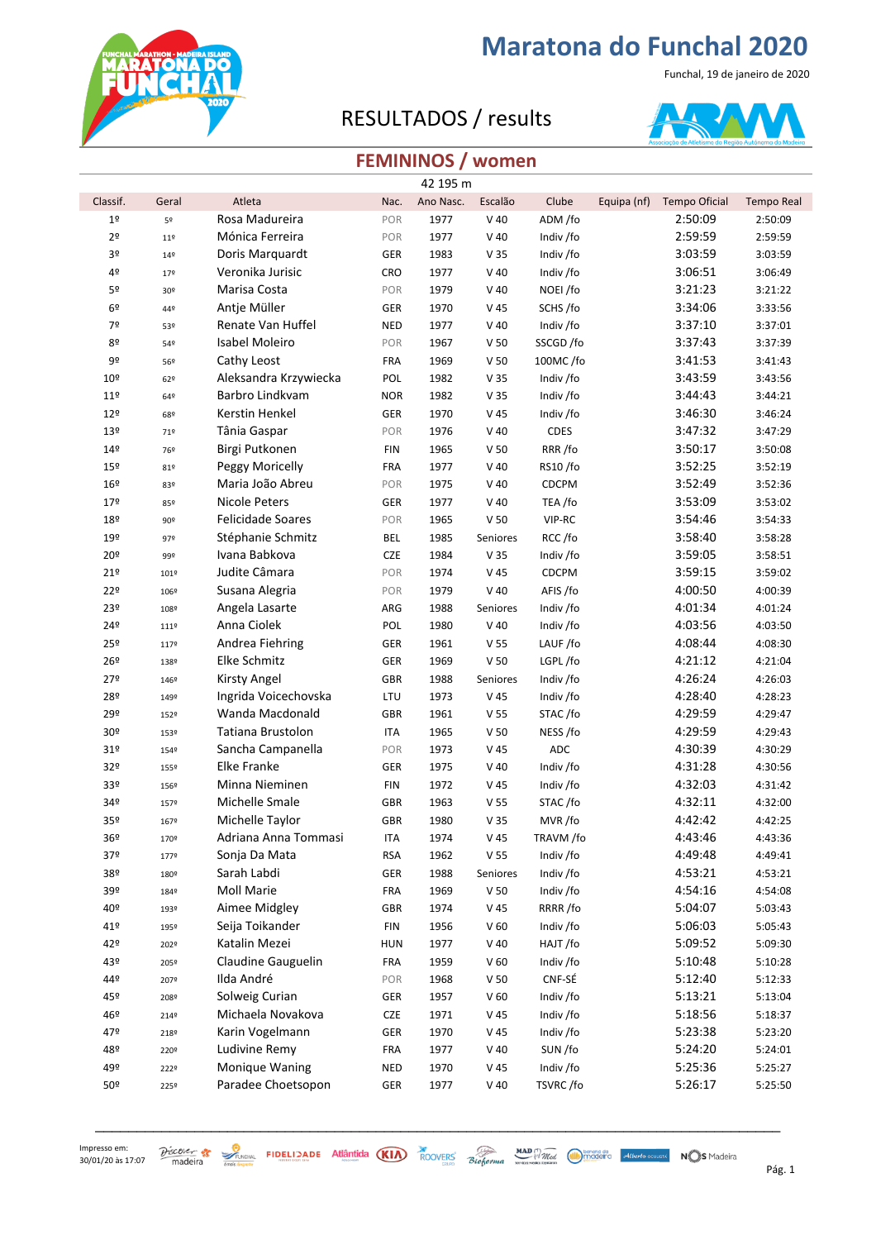

Funchal, 19 de janeiro de 2020

### RESULTADOS / results



#### **FEMININOS / women**

|                 |                 |                          |            | 42 195 m  |                 |             |             |                      |                   |
|-----------------|-----------------|--------------------------|------------|-----------|-----------------|-------------|-------------|----------------------|-------------------|
| Classif.        | Geral           | Atleta                   | Nac.       | Ano Nasc. | Escalão         | Clube       | Equipa (nf) | <b>Tempo Oficial</b> | <b>Tempo Real</b> |
| 1 <sup>°</sup>  | 5º              | Rosa Madureira           | POR        | 1977      | $V$ 40          | ADM /fo     |             | 2:50:09              | 2:50:09           |
| 2 <sup>o</sup>  | $11^{0}$        | Mónica Ferreira          | POR        | 1977      | $V$ 40          | Indiv /fo   |             | 2:59:59              | 2:59:59           |
| 3º              | 149             | Doris Marquardt          | GER        | 1983      | V <sub>35</sub> | Indiv /fo   |             | 3:03:59              | 3:03:59           |
| 4º              | 179             | Veronika Jurisic         | CRO        | 1977      | $V$ 40          | Indiv /fo   |             | 3:06:51              | 3:06:49           |
| 5º              | 30 <sup>o</sup> | Marisa Costa             | POR        | 1979      | $V$ 40          | NOEI /fo    |             | 3:21:23              | 3:21:22           |
| 6º              | 449             | Antje Müller             | GER        | 1970      | V <sub>45</sub> | SCHS /fo    |             | 3:34:06              | 3:33:56           |
| 7º              | 53º             | Renate Van Huffel        | <b>NED</b> | 1977      | $V$ 40          | Indiv /fo   |             | 3:37:10              | 3:37:01           |
| 82              | 54º             | Isabel Moleiro           | POR        | 1967      | V 50            | SSCGD /fo   |             | 3:37:43              | 3:37:39           |
| 9º              | 56º             | Cathy Leost              | FRA        | 1969      | V 50            | 100MC/fo    |             | 3:41:53              | 3:41:43           |
| 10 <sup>°</sup> | 62º             | Aleksandra Krzywiecka    | POL        | 1982      | V <sub>35</sub> | Indiv /fo   |             | 3:43:59              | 3:43:56           |
| 11 <sup>°</sup> | 64º             | Barbro Lindkvam          | <b>NOR</b> | 1982      | V <sub>35</sub> | Indiv /fo   |             | 3:44:43              | 3:44:21           |
| 12º             | 68º             | Kerstin Henkel           | GER        | 1970      | V <sub>45</sub> | Indiv /fo   |             | 3:46:30              | 3:46:24           |
| 13º             | 71º             | Tânia Gaspar             | POR        | 1976      | $V$ 40          | <b>CDES</b> |             | 3:47:32              | 3:47:29           |
| 14º             | 76º             | Birgi Putkonen           | <b>FIN</b> | 1965      | V 50            | RRR/fo      |             | 3:50:17              | 3:50:08           |
| 15º             | 81º             | Peggy Moricelly          | <b>FRA</b> | 1977      | $V$ 40          | RS10/fo     |             | 3:52:25              | 3:52:19           |
| 16º             | 83º             | Maria João Abreu         | POR        | 1975      | $V$ 40          | CDCPM       |             | 3:52:49              | 3:52:36           |
| 17º             | 859             | <b>Nicole Peters</b>     | GER        | 1977      | $V$ 40          | TEA /fo     |             | 3:53:09              | 3:53:02           |
| 18º             | 90 <sup>°</sup> | <b>Felicidade Soares</b> | POR        | 1965      | V 50            | VIP-RC      |             | 3:54:46              | 3:54:33           |
| 19º             | 97º             | Stéphanie Schmitz        | <b>BEL</b> | 1985      | Seniores        | RCC/fo      |             | 3:58:40              | 3:58:28           |
| 20º             | 99º             | Ivana Babkova            | CZE        | 1984      | V 35            | Indiv /fo   |             | 3:59:05              | 3:58:51           |
| 21º             | 101º            | Judite Câmara            | POR        | 1974      | V <sub>45</sub> | CDCPM       |             | 3:59:15              | 3:59:02           |
| 22º             | 106º            | Susana Alegria           | POR        | 1979      | $V$ 40          | AFIS /fo    |             | 4:00:50              | 4:00:39           |
| 23º             | 108º            | Angela Lasarte           | ARG        | 1988      | Seniores        | Indiv /fo   |             | 4:01:34              | 4:01:24           |
| 249             | 111º            | Anna Ciolek              | POL        | 1980      | $V$ 40          | Indiv /fo   |             | 4:03:56              | 4:03:50           |
| 25º             | 117º            | Andrea Fiehring          | GER        | 1961      | V <sub>55</sub> | LAUF/fo     |             | 4:08:44              | 4:08:30           |
| 26º             | 138º            | Elke Schmitz             | GER        | 1969      | V <sub>50</sub> | LGPL/fo     |             | 4:21:12              | 4:21:04           |
| 27º             | 146º            | <b>Kirsty Angel</b>      | GBR        | 1988      | Seniores        | Indiv /fo   |             | 4:26:24              | 4:26:03           |
| 28º             | 149º            | Ingrida Voicechovska     | LTU        | 1973      | V 45            | Indiv /fo   |             | 4:28:40              | 4:28:23           |
| 29º             | 152º            | Wanda Macdonald          | GBR        | 1961      | V 55            | STAC/fo     |             | 4:29:59              | 4:29:47           |
| 30º             | 153º            | Tatiana Brustolon        | <b>ITA</b> | 1965      | V 50            | NESS /fo    |             | 4:29:59              | 4:29:43           |
| 31º             | 154º            | Sancha Campanella        | POR        | 1973      | V 45            | ADC         |             | 4:30:39              | 4:30:29           |
| 32º             | 155º            | Elke Franke              | GER        | 1975      | $V$ 40          | Indiv /fo   |             | 4:31:28              | 4:30:56           |
| 33º             | 156º            | Minna Nieminen           | <b>FIN</b> | 1972      | V 45            | Indiv /fo   |             | 4:32:03              | 4:31:42           |
| 34º             | 157º            | Michelle Smale           | <b>GBR</b> | 1963      | V 55            | STAC/fo     |             | 4:32:11              | 4:32:00           |
| 35º             | 167º            | Michelle Taylor          | GBR        | 1980      | V <sub>35</sub> | MVR/fo      |             | 4:42:42              | 4:42:25           |
| 36º             | 1709            | Adriana Anna Tommasi     | <b>ITA</b> | 1974      | V 45            | TRAVM /fo   |             | 4:43:46              | 4:43:36           |
| 37º             | 1779            | Sonja Da Mata            | RSA        | 1962      | V 55            | Indiv /fo   |             | 4:49:48              | 4:49:41           |
| 38º             | 180º            | Sarah Labdi              | GER        | 1988      | Seniores        | Indiv /fo   |             | 4:53:21              | 4:53:21           |
| 39º             | 1849            | <b>Moll Marie</b>        | FRA        | 1969      | V <sub>50</sub> | Indiv /fo   |             | 4:54:16              | 4:54:08           |
| 40º             | 193º            | Aimee Midgley            | GBR        | 1974      | V <sub>45</sub> | RRRR /fo    |             | 5:04:07              | 5:03:43           |
| 41º             | 195º            | Seija Toikander          | <b>FIN</b> | 1956      | V <sub>60</sub> | Indiv /fo   |             | 5:06:03              | 5:05:43           |
| 42º             | 202º            | Katalin Mezei            | <b>HUN</b> | 1977      | $V$ 40          | HAJT /fo    |             | 5:09:52              | 5:09:30           |
| 43º             | 205º            | Claudine Gauguelin       | FRA        | 1959      | V <sub>60</sub> | Indiv /fo   |             | 5:10:48              | 5:10:28           |
| 44º             | 207º            | Ilda André               | POR        | 1968      | V <sub>50</sub> | CNF-SÉ      |             | 5:12:40              | 5:12:33           |
| 45º             | 208º            | Solweig Curian           | GER        | 1957      | V <sub>60</sub> | Indiv /fo   |             | 5:13:21              | 5:13:04           |
| 46º             | 2149            | Michaela Novakova        | <b>CZE</b> | 1971      | $V$ 45          | Indiv /fo   |             | 5:18:56              | 5:18:37           |
| 47º             | 2189            | Karin Vogelmann          | GER        | 1970      | V 45            | Indiv /fo   |             | 5:23:38              | 5:23:20           |
| 48º             | 220º            | Ludivine Remy            | FRA        | 1977      | $V$ 40          | SUN /fo     |             | 5:24:20              | 5:24:01           |
| 49º             | 222º            | Monique Waning           | <b>NED</b> | 1970      | $V$ 45          | Indiv /fo   |             | 5:25:36              | 5:25:27           |
| 50º             | 2259            | Paradee Choetsopon       | GER        | 1977      | $V$ 40          | TSVRC/fo    |             | 5:26:17              | 5:25:50           |

\_\_\_\_\_\_\_\_\_\_\_\_\_\_\_\_\_\_\_\_\_\_\_\_\_\_\_\_\_\_\_\_\_\_\_\_\_\_\_\_\_\_\_\_\_\_\_\_\_\_\_\_\_\_\_\_\_\_\_\_\_\_\_\_\_\_\_\_\_\_\_\_\_\_\_\_\_\_\_\_\_\_\_

 $30/01/20$  às 17:07 madeira  $\frac{30}{2}$  reaction  $\frac{30}{2}$  reaction  $\frac{30}{2}$  reaction  $\frac{30}{2}$  reaction  $\frac{30}{2}$  reaction  $\frac{30}{2}$  reaction  $\frac{30}{2}$  reaction  $\frac{30}{2}$  reaction  $\frac{30}{2}$  reaction  $\frac{30}{2}$  re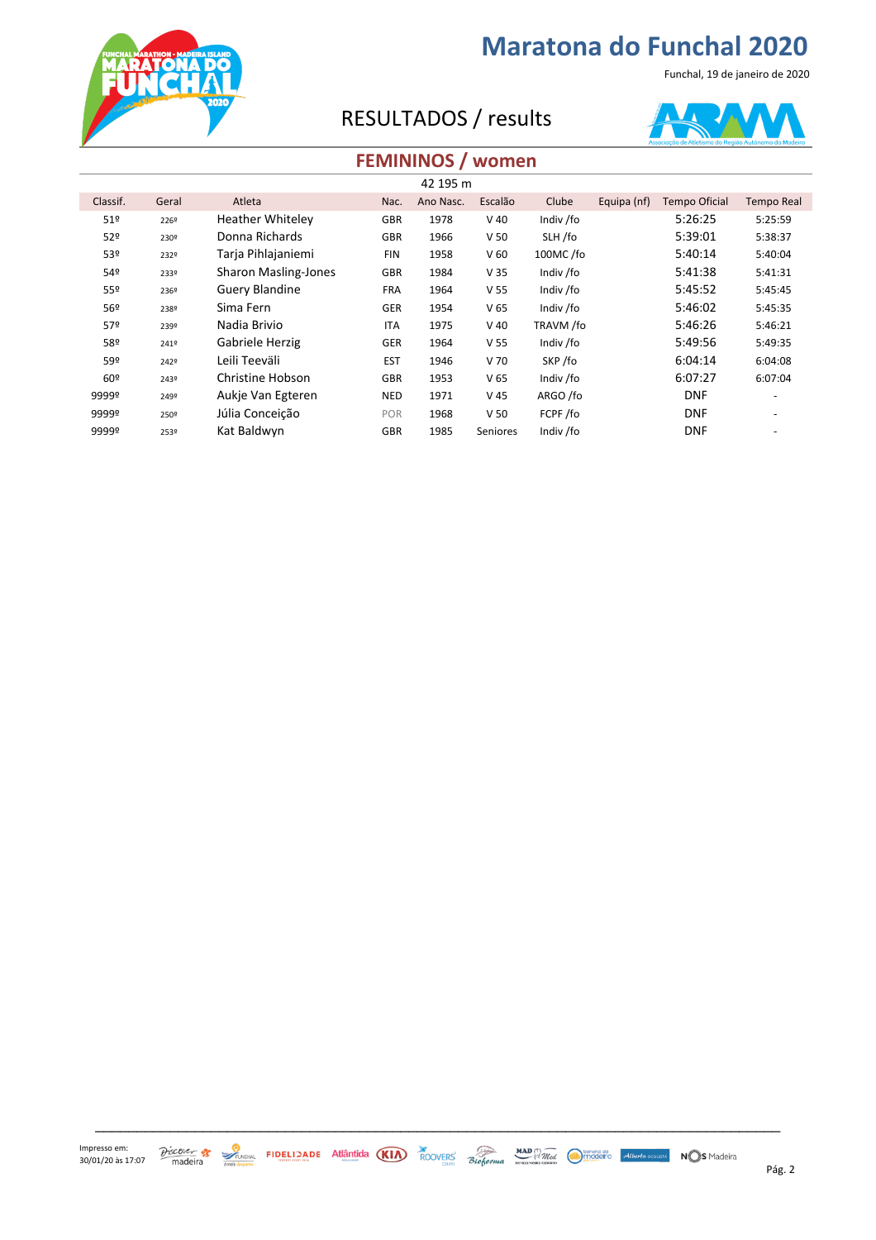

Funchal, 19 de janeiro de 2020

### RESULTADOS / results



### **FEMININOS / women**

|          |       |                             |            | 42 195 m  |                 |           |             |                      |                          |
|----------|-------|-----------------------------|------------|-----------|-----------------|-----------|-------------|----------------------|--------------------------|
| Classif. | Geral | Atleta                      | Nac.       | Ano Nasc. | Escalão         | Clube     | Equipa (nf) | <b>Tempo Oficial</b> | Tempo Real               |
| 51º      | 2269  | <b>Heather Whiteley</b>     | GBR        | 1978      | $V$ 40          | Indiv /fo |             | 5:26:25              | 5:25:59                  |
| 52º      | 230º  | Donna Richards              | <b>GBR</b> | 1966      | V <sub>50</sub> | SLH/fo    |             | 5:39:01              | 5:38:37                  |
| 53º      | 232º  | Tarja Pihlajaniemi          | <b>FIN</b> | 1958      | V <sub>60</sub> | 100MC/fo  |             | 5:40:14              | 5:40:04                  |
| 54º      | 233º  | <b>Sharon Masling-Jones</b> | <b>GBR</b> | 1984      | V <sub>35</sub> | Indiv /fo |             | 5:41:38              | 5:41:31                  |
| 55º      | 236º  | <b>Guery Blandine</b>       | <b>FRA</b> | 1964      | V <sub>55</sub> | Indiv /fo |             | 5:45:52              | 5:45:45                  |
| 56º      | 238º  | Sima Fern                   | GER        | 1954      | V <sub>65</sub> | Indiv /fo |             | 5:46:02              | 5:45:35                  |
| 57º      | 239º  | Nadia Brivio                | <b>ITA</b> | 1975      | $V$ 40          | TRAVM /fo |             | 5:46:26              | 5:46:21                  |
| 58º      | 241º  | Gabriele Herzig             | <b>GER</b> | 1964      | V <sub>55</sub> | Indiv /fo |             | 5:49:56              | 5:49:35                  |
| 59º      | 2429  | Leili Teeväli               | <b>EST</b> | 1946      | V <sub>70</sub> | SKP/fo    |             | 6:04:14              | 6:04:08                  |
| 60º      | 243º  | Christine Hobson            | <b>GBR</b> | 1953      | V <sub>65</sub> | Indiv /fo |             | 6:07:27              | 6:07:04                  |
| 9999º    | 249º  | Aukje Van Egteren           | <b>NED</b> | 1971      | V 45            | ARGO /fo  |             | <b>DNF</b>           |                          |
| 9999º    | 250º  | Júlia Conceição             | POR        | 1968      | V <sub>50</sub> | FCPF/fo   |             | <b>DNF</b>           | $\overline{\phantom{a}}$ |
| 9999º    | 253º  | Kat Baldwyn                 | GBR        | 1985      | Seniores        | Indiv /fo |             | <b>DNF</b>           |                          |



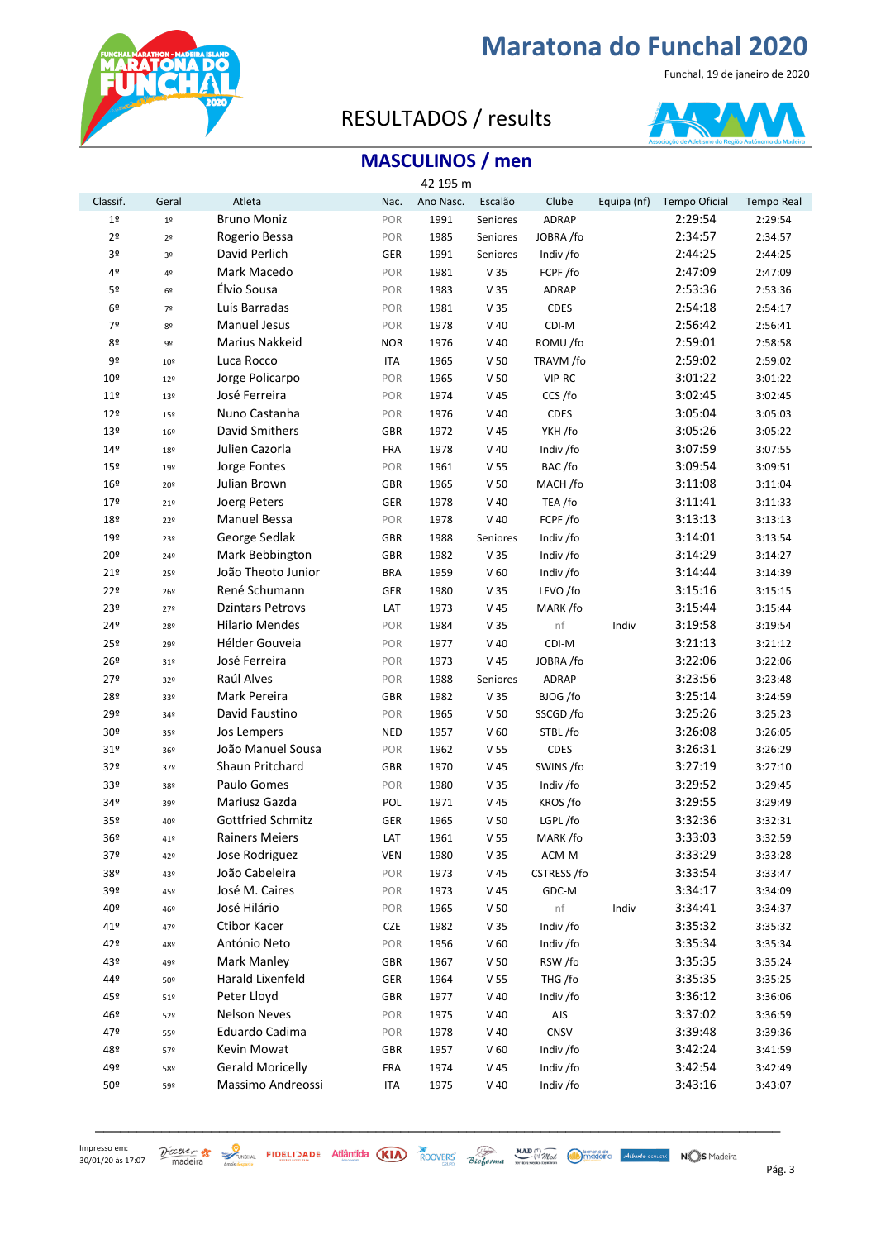

Funchal, 19 de janeiro de 2020

### RESULTADOS / results



### **MASCULINOS / men**

|                 |                 |                         |            | 42 195 m  |                 |             |             |               |                   |
|-----------------|-----------------|-------------------------|------------|-----------|-----------------|-------------|-------------|---------------|-------------------|
| Classif.        | Geral           | Atleta                  | Nac.       | Ano Nasc. | Escalão         | Clube       | Equipa (nf) | Tempo Oficial | <b>Tempo Real</b> |
| 1 <sup>°</sup>  | 1 <sup>9</sup>  | <b>Bruno Moniz</b>      | POR        | 1991      | Seniores        | ADRAP       |             | 2:29:54       | 2:29:54           |
| 2 <sup>o</sup>  | 2 <sup>o</sup>  | Rogerio Bessa           | POR        | 1985      | Seniores        | JOBRA /fo   |             | 2:34:57       | 2:34:57           |
| 3º              | 3 <sup>o</sup>  | David Perlich           | GER        | 1991      | Seniores        | Indiv /fo   |             | 2:44:25       | 2:44:25           |
| 4º              | 4º              | Mark Macedo             | POR        | 1981      | V 35            | FCPF/fo     |             | 2:47:09       | 2:47:09           |
| 5º              | 6 <sup>°</sup>  | Élvio Sousa             | POR        | 1983      | V 35            | ADRAP       |             | 2:53:36       | 2:53:36           |
| 6º              | 72              | Luís Barradas           | POR        | 1981      | V 35            | CDES        |             | 2:54:18       | 2:54:17           |
| 7º              | 8º              | Manuel Jesus            | POR        | 1978      | $V$ 40          | CDI-M       |             | 2:56:42       | 2:56:41           |
| 82              | 92              | Marius Nakkeid          | <b>NOR</b> | 1976      | $V$ 40          | ROMU /fo    |             | 2:59:01       | 2:58:58           |
| 9º              | 10 <sup>°</sup> | Luca Rocco              | <b>ITA</b> | 1965      | V <sub>50</sub> | TRAVM /fo   |             | 2:59:02       | 2:59:02           |
| 10 <sup>°</sup> | 12 <sup>°</sup> | Jorge Policarpo         | POR        | 1965      | V <sub>50</sub> | VIP-RC      |             | 3:01:22       | 3:01:22           |
| 11 <sup>°</sup> | 13º             | José Ferreira           | POR        | 1974      | V 45            | CCS/fo      |             | 3:02:45       | 3:02:45           |
| 12 <sup>°</sup> | 15º             | Nuno Castanha           | POR        | 1976      | $V$ 40          | CDES        |             | 3:05:04       | 3:05:03           |
| 13º             | $16^{\circ}$    | David Smithers          | <b>GBR</b> | 1972      | V 45            | YKH /fo     |             | 3:05:26       | 3:05:22           |
| 149             | 18º             | Julien Cazorla          | <b>FRA</b> | 1978      | $V$ 40          | Indiv /fo   |             | 3:07:59       | 3:07:55           |
| 15º             | 192             | Jorge Fontes            | POR        | 1961      | V <sub>55</sub> | BAC/fo      |             | 3:09:54       | 3:09:51           |
| 16º             | 20º             | Julian Brown            | <b>GBR</b> | 1965      | V <sub>50</sub> | MACH /fo    |             | 3:11:08       | 3:11:04           |
| 17º             | 21º             | Joerg Peters            | GER        | 1978      | $V$ 40          | TEA/fo      |             | 3:11:41       | 3:11:33           |
| 18º             | 22º             | <b>Manuel Bessa</b>     | POR        | 1978      | $V$ 40          | FCPF/fo     |             | 3:13:13       | 3:13:13           |
| 19º             | 23º             | George Sedlak           | <b>GBR</b> | 1988      | Seniores        | Indiv /fo   |             | 3:14:01       | 3:13:54           |
| 20º             | 24º             | Mark Bebbington         | <b>GBR</b> | 1982      | V 35            | Indiv /fo   |             | 3:14:29       | 3:14:27           |
| 21º             | 25º             | João Theoto Junior      | <b>BRA</b> | 1959      | V <sub>60</sub> | Indiv /fo   |             | 3:14:44       | 3:14:39           |
| 22º             | 26º             | René Schumann           | GER        | 1980      | V <sub>35</sub> | LFVO /fo    |             | 3:15:16       | 3:15:15           |
| 23º             | 279             | <b>Dzintars Petrovs</b> | LAT        | 1973      | V 45            | MARK/fo     |             | 3:15:44       | 3:15:44           |
| 24º             | 28º             | <b>Hilario Mendes</b>   | POR        | 1984      | V 35            | nf          | Indiv       | 3:19:58       | 3:19:54           |
| 25º             | 29º             | Hélder Gouveia          | POR        | 1977      | $V$ 40          | CDI-M       |             | 3:21:13       | 3:21:12           |
| 26º             | 31º             | José Ferreira           | POR        | 1973      | V <sub>45</sub> | JOBRA /fo   |             | 3:22:06       | 3:22:06           |
| 27º             | 32º             | Raúl Alves              | POR        | 1988      | Seniores        | ADRAP       |             | 3:23:56       | 3:23:48           |
| 28º             | 33º             | Mark Pereira            | <b>GBR</b> | 1982      | V 35            | BJOG /fo    |             | 3:25:14       | 3:24:59           |
| 29º             | 34º             | David Faustino          | POR        | 1965      | V <sub>50</sub> | SSCGD /fo   |             | 3:25:26       | 3:25:23           |
| 30º             | 35º             | Jos Lempers             | <b>NED</b> | 1957      | V <sub>60</sub> | STBL/fo     |             | 3:26:08       | 3:26:05           |
| 31º             | 36º             | João Manuel Sousa       | POR        | 1962      | V <sub>55</sub> | <b>CDES</b> |             | 3:26:31       | 3:26:29           |
| 32º             | 37º             | Shaun Pritchard         | <b>GBR</b> | 1970      | V 45            | SWINS /fo   |             | 3:27:19       | 3:27:10           |
| 33º             | 38º             | Paulo Gomes             | POR        | 1980      | V 35            | Indiv /fo   |             | 3:29:52       | 3:29:45           |
| 34º             | 39º             | Mariusz Gazda           | <b>POL</b> | 1971      | V 45            | KROS /fo    |             | 3:29:55       | 3:29:49           |
| 35º             | 40º             | Gottfried Schmitz       | GER        | 1965      | V <sub>50</sub> | LGPL/fo     |             | 3:32:36       | 3:32:31           |
| 36º             | 41º             | Rainers Meiers          | LAT        | 1961      | V <sub>55</sub> | MARK/fo     |             | 3:33:03       | 3:32:59           |
| 37º             | 42º             | Jose Rodriguez          | <b>VEN</b> | 1980      | V <sub>35</sub> | ACM-M       |             | 3:33:29       | 3:33:28           |
| 38º             | 43º             | João Cabeleira          | POR        | 1973      | V 45            | CSTRESS /fo |             | 3:33:54       | 3:33:47           |
| 39º             | 45º             | José M. Caires          | POR        | 1973      | V 45            | GDC-M       |             | 3:34:17       | 3:34:09           |
| 40º             | 46º             | José Hilário            | POR        | 1965      | V <sub>50</sub> | nf          | Indiv       | 3:34:41       | 3:34:37           |
| 41º             | 479             | Ctibor Kacer            | <b>CZE</b> | 1982      | V <sub>35</sub> | Indiv /fo   |             | 3:35:32       | 3:35:32           |
| 42º             | 48º             | António Neto            | POR        | 1956      | V <sub>60</sub> | Indiv /fo   |             | 3:35:34       | 3:35:34           |
| 43º             | 49º             | Mark Manley             | <b>GBR</b> | 1967      | V <sub>50</sub> | RSW/fo      |             | 3:35:35       | 3:35:24           |
| 44º             | 50º             | Harald Lixenfeld        | GER        | 1964      | V <sub>55</sub> | THG /fo     |             | 3:35:35       | 3:35:25           |
| 45º             | 51º             | Peter Lloyd             | <b>GBR</b> | 1977      | $V$ 40          | Indiv /fo   |             | 3:36:12       | 3:36:06           |
| 46º             | 52º             | <b>Nelson Neves</b>     | POR        | 1975      | $V$ 40          | AJS         |             | 3:37:02       | 3:36:59           |
| 47º             | 55º             | Eduardo Cadima          | POR        | 1978      | $V$ 40          | CNSV        |             | 3:39:48       | 3:39:36           |
| 48º             | 57º             | Kevin Mowat             | <b>GBR</b> | 1957      | V <sub>60</sub> | Indiv /fo   |             | 3:42:24       | 3:41:59           |
| 49º             | 58º             | <b>Gerald Moricelly</b> | <b>FRA</b> | 1974      | V 45            | Indiv /fo   |             | 3:42:54       | 3:42:49           |
| 50º             | 59º             | Massimo Andreossi       | <b>ITA</b> | 1975      | $V$ 40          | Indiv /fo   |             | 3:43:16       | 3:43:07           |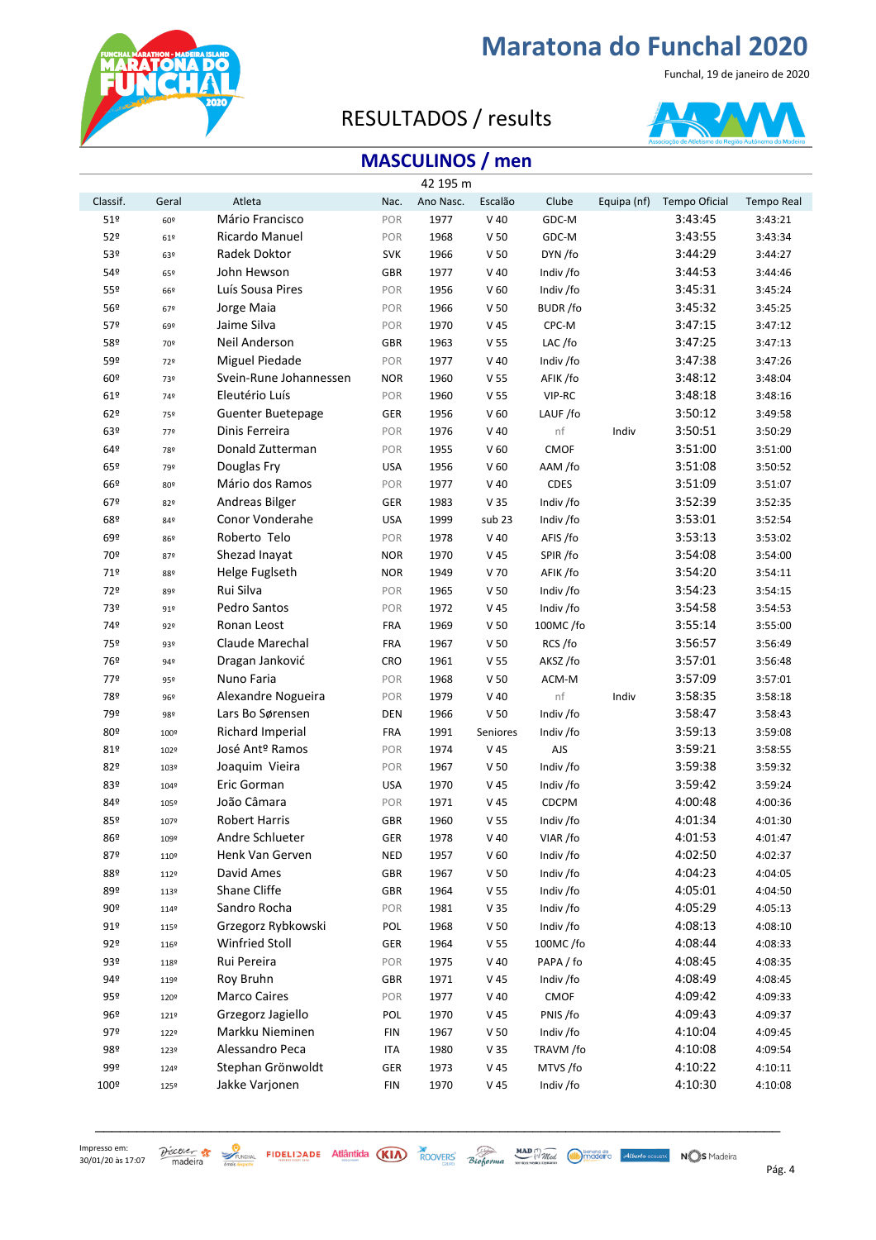

Funchal, 19 de janeiro de 2020

### RESULTADOS / results



### **MASCULINOS / men**

|                 |       |                             |            | 42 195 m  |                 |                |             |                      |                   |
|-----------------|-------|-----------------------------|------------|-----------|-----------------|----------------|-------------|----------------------|-------------------|
| Classif.        | Geral | Atleta                      | Nac.       | Ano Nasc. | Escalão         | Clube          | Equipa (nf) | <b>Tempo Oficial</b> | <b>Tempo Real</b> |
| 51 <sup>°</sup> | 60º   | Mário Francisco             | POR        | 1977      | $V$ 40          | GDC-M          |             | 3:43:45              | 3:43:21           |
| 52º             | 61º   | Ricardo Manuel              | POR        | 1968      | V <sub>50</sub> | GDC-M          |             | 3:43:55              | 3:43:34           |
| 53º             | 63º   | Radek Doktor                | <b>SVK</b> | 1966      | V <sub>50</sub> | DYN /fo        |             | 3:44:29              | 3:44:27           |
| 54º             | 65º   | John Hewson                 | GBR        | 1977      | $V$ 40          | Indiv /fo      |             | 3:44:53              | 3:44:46           |
| 55º             | 66º   | Luís Sousa Pires            | POR        | 1956      | V <sub>60</sub> | Indiv /fo      |             | 3:45:31              | 3:45:24           |
| 56º             | 67º   | Jorge Maia                  | POR        | 1966      | V <sub>50</sub> | <b>BUDR/fo</b> |             | 3:45:32              | 3:45:25           |
| 57º             | 69º   | Jaime Silva                 | POR        | 1970      | V 45            | CPC-M          |             | 3:47:15              | 3:47:12           |
| 58º             | 70º   | Neil Anderson               | <b>GBR</b> | 1963      | V <sub>55</sub> | LAC/fo         |             | 3:47:25              | 3:47:13           |
| 59º             | 72º   | Miguel Piedade              | POR        | 1977      | $V$ 40          | Indiv /fo      |             | 3:47:38              | 3:47:26           |
| 60º             | 73º   | Svein-Rune Johannessen      | <b>NOR</b> | 1960      | V <sub>55</sub> | AFIK /fo       |             | 3:48:12              | 3:48:04           |
| 61º             | 749   | Eleutério Luís              | POR        | 1960      | V <sub>55</sub> | VIP-RC         |             | 3:48:18              | 3:48:16           |
| 62º             | 75º   | Guenter Buetepage           | GER        | 1956      | V <sub>60</sub> | LAUF/fo        |             | 3:50:12              | 3:49:58           |
| 63º             | 779   | Dinis Ferreira              | POR        | 1976      | $V$ 40          | nf             | Indiv       | 3:50:51              | 3:50:29           |
| 64º             | 78º   | Donald Zutterman            | POR        | 1955      | V <sub>60</sub> | CMOF           |             | 3:51:00              | 3:51:00           |
| 65º             | 79º   | Douglas Fry                 | <b>USA</b> | 1956      | V <sub>60</sub> | AAM /fo        |             | 3:51:08              | 3:50:52           |
| 66º             | 80º   | Mário dos Ramos             | POR        | 1977      | $V$ 40          | <b>CDES</b>    |             | 3:51:09              | 3:51:07           |
| 67º             | 82º   | Andreas Bilger              | GER        | 1983      | V <sub>35</sub> | Indiv /fo      |             | 3:52:39              | 3:52:35           |
| 68º             | 84º   | Conor Vonderahe             | <b>USA</b> | 1999      | sub 23          | Indiv /fo      |             | 3:53:01              | 3:52:54           |
| 69º             | 86º   | Roberto Telo                | POR        | 1978      | $V$ 40          | AFIS /fo       |             | 3:53:13              | 3:53:02           |
| 70º             | 879   | Shezad Inayat               | <b>NOR</b> | 1970      | V 45            | SPIR/fo        |             | 3:54:08              | 3:54:00           |
| 71º             | 889   | Helge Fuglseth              | <b>NOR</b> | 1949      | V 70            | AFIK /fo       |             | 3:54:20              | 3:54:11           |
| 72º             | 89º   | Rui Silva                   | POR        | 1965      | V <sub>50</sub> | Indiv /fo      |             | 3:54:23              | 3:54:15           |
| 73º             | 91º   | Pedro Santos                | POR        | 1972      | V 45            | Indiv /fo      |             | 3:54:58              | 3:54:53           |
| 74º             | 92º   | Ronan Leost                 | <b>FRA</b> | 1969      | V <sub>50</sub> | 100MC/fo       |             | 3:55:14              | 3:55:00           |
| 75º             | 93º   | Claude Marechal             | <b>FRA</b> | 1967      | V <sub>50</sub> | RCS/fo         |             | 3:56:57              | 3:56:49           |
| 76º             | 94º   | Dragan Janković             | CRO        | 1961      | V <sub>55</sub> | AKSZ/fo        |             | 3:57:01              | 3:56:48           |
| 77º             | 95º   | Nuno Faria                  | POR        | 1968      | V <sub>50</sub> | ACM-M          |             | 3:57:09              | 3:57:01           |
| 78º             | 96º   | Alexandre Nogueira          | POR        | 1979      | $V$ 40          | nf             | Indiv       | 3:58:35              | 3:58:18           |
| 79º             | 98º   | Lars Bo Sørensen            | DEN        | 1966      | V <sub>50</sub> | Indiv /fo      |             | 3:58:47              | 3:58:43           |
| 80º             | 100º  | Richard Imperial            | <b>FRA</b> | 1991      | Seniores        | Indiv /fo      |             | 3:59:13              | 3:59:08           |
| 81º             | 102º  | José Ant <sup>o</sup> Ramos | POR        | 1974      | V <sub>45</sub> | <b>AJS</b>     |             | 3:59:21              | 3:58:55           |
| 82º             | 103º  | Joaquim Vieira              | POR        | 1967      | V <sub>50</sub> | Indiv /fo      |             | 3:59:38              | 3:59:32           |
| 83º             | 1049  | Eric Gorman                 | <b>USA</b> | 1970      | V 45            | Indiv /fo      |             | 3:59:42              | 3:59:24           |
| 84º             | 105º  | João Câmara                 | POR        | 1971      | V 45            | CDCPM          |             | 4:00:48              | 4:00:36           |
| 85º             | 107º  | <b>Robert Harris</b>        | <b>GBR</b> | 1960      | V <sub>55</sub> | Indiv /fo      |             | 4:01:34              | 4:01:30           |
| 86º             | 109º  | Andre Schlueter             | GER        | 1978      | $V$ 40          | VIAR /fo       |             | 4:01:53              | 4:01:47           |
| 87º             | 110º  | Henk Van Gerven             | NED        | 1957      | V <sub>60</sub> | Indiv /fo      |             | 4:02:50              | 4:02:37           |
| 88º             | 112º  | David Ames                  | GBR        | 1967      | V <sub>50</sub> | Indiv /fo      |             | 4:04:23              | 4:04:05           |
| 89º             | 113º  | Shane Cliffe                | GBR        | 1964      | V <sub>55</sub> | Indiv /fo      |             | 4:05:01              | 4:04:50           |
| 90º             | 114º  | Sandro Rocha                | POR        | 1981      | V <sub>35</sub> | Indiv /fo      |             | 4:05:29              | 4:05:13           |
| 91º             | 115º  | Grzegorz Rybkowski          | POL        | 1968      | V <sub>50</sub> | Indiv /fo      |             | 4:08:13              | 4:08:10           |
| 92º             | 116º  | <b>Winfried Stoll</b>       | GER        | 1964      | V <sub>55</sub> | 100MC/fo       |             | 4:08:44              | 4:08:33           |
| 93º             | 118º  | Rui Pereira                 | POR        | 1975      | $V$ 40          | PAPA / fo      |             | 4:08:45              | 4:08:35           |
| 94º             | 119º  | Roy Bruhn                   | GBR        | 1971      | V 45            | Indiv /fo      |             | 4:08:49              | 4:08:45           |
| 95º             | 120º  | <b>Marco Caires</b>         | POR        | 1977      | $V$ 40          | <b>CMOF</b>    |             | 4:09:42              | 4:09:33           |
| 96º             | 121º  | Grzegorz Jagiello           | POL        | 1970      | V 45            | PNIS /fo       |             | 4:09:43              | 4:09:37           |
| 97º             | 122º  | Markku Nieminen             | <b>FIN</b> | 1967      | V <sub>50</sub> | Indiv /fo      |             | 4:10:04              | 4:09:45           |
| 98º             | 123º  | Alessandro Peca             | <b>ITA</b> | 1980      | V <sub>35</sub> | TRAVM /fo      |             | 4:10:08              | 4:09:54           |
| 99º             | 124º  | Stephan Grönwoldt           | GER        | 1973      | V 45            | MTVS /fo       |             | 4:10:22              | 4:10:11           |
| 100º            | 125º  | Jakke Varjonen              | <b>FIN</b> | 1970      | V 45            | Indiv /fo      |             | 4:10:30              | 4:10:08           |

Impresso em: 

\_\_\_\_\_\_\_\_\_\_\_\_\_\_\_\_\_\_\_\_\_\_\_\_\_\_\_\_\_\_\_\_\_\_\_\_\_\_\_\_\_\_\_\_\_\_\_\_\_\_\_\_\_\_\_\_\_\_\_\_\_\_\_\_\_\_\_\_\_\_\_\_\_\_\_\_\_\_\_\_\_\_\_

 $30/01/20$  às 17:07 madeira  $\frac{30}{2}$  reaction  $\frac{30}{2}$  reaction  $\frac{30}{2}$  reaction  $\frac{30}{2}$  reaction  $\frac{30}{2}$  reaction  $\frac{30}{2}$  reaction  $\frac{30}{2}$  reaction  $\frac{30}{2}$  reaction  $\frac{30}{2}$  reaction  $\frac{30}{2}$  re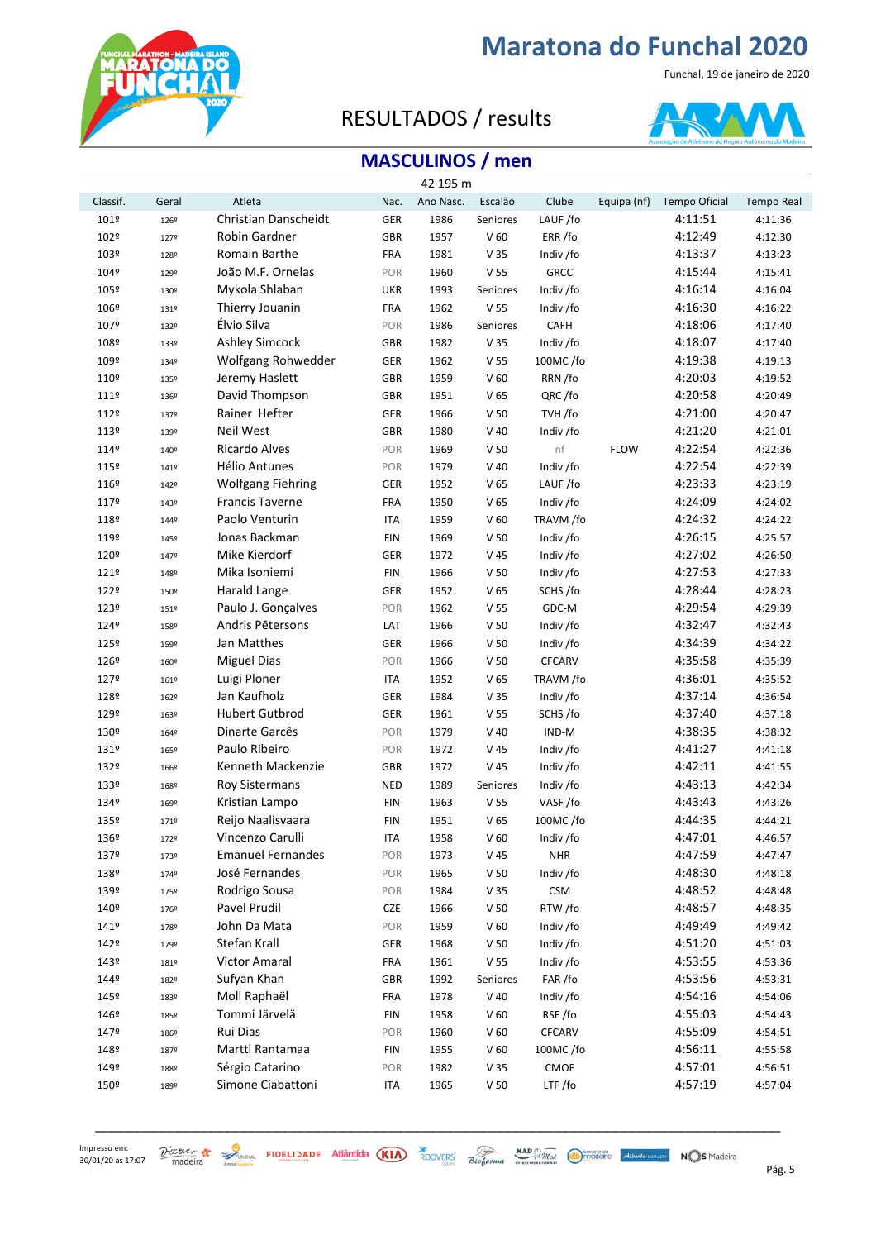

Funchal, 19 de janeiro de 2020

### RESULTADOS / results



### **MASCULINOS / men**

|          |       |                          |            | 42 195 m  |                 |               |             |               |                   |
|----------|-------|--------------------------|------------|-----------|-----------------|---------------|-------------|---------------|-------------------|
| Classif. | Geral | Atleta                   | Nac.       | Ano Nasc. | Escalão         | Clube         | Equipa (nf) | Tempo Oficial | <b>Tempo Real</b> |
| 101º     | 126º  | Christian Danscheidt     | GER        | 1986      | Seniores        | LAUF/fo       |             | 4:11:51       | 4:11:36           |
| 102º     | 1279  | Robin Gardner            | <b>GBR</b> | 1957      | V <sub>60</sub> | ERR/fo        |             | 4:12:49       | 4:12:30           |
| 103º     | 128º  | Romain Barthe            | <b>FRA</b> | 1981      | V <sub>35</sub> | Indiv /fo     |             | 4:13:37       | 4:13:23           |
| 104º     | 129º  | João M.F. Ornelas        | POR        | 1960      | V <sub>55</sub> | <b>GRCC</b>   |             | 4:15:44       | 4:15:41           |
| 105º     | 130º  | Mykola Shlaban           | <b>UKR</b> | 1993      | Seniores        | Indiv /fo     |             | 4:16:14       | 4:16:04           |
| 106º     | 131º  | Thierry Jouanin          | <b>FRA</b> | 1962      | V 55            | Indiv /fo     |             | 4:16:30       | 4:16:22           |
| 107º     | 132º  | Élvio Silva              | POR        | 1986      | Seniores        | CAFH          |             | 4:18:06       | 4:17:40           |
| 108º     | 133º  | <b>Ashley Simcock</b>    | <b>GBR</b> | 1982      | V <sub>35</sub> | Indiv /fo     |             | 4:18:07       | 4:17:40           |
| 109º     | 134º  | Wolfgang Rohwedder       | GER        | 1962      | V <sub>55</sub> | 100MC/fo      |             | 4:19:38       | 4:19:13           |
| 110º     | 135º  | Jeremy Haslett           | <b>GBR</b> | 1959      | V <sub>60</sub> | RRN /fo       |             | 4:20:03       | 4:19:52           |
| 111º     | 136º  | David Thompson           | <b>GBR</b> | 1951      | V <sub>65</sub> | QRC/fo        |             | 4:20:58       | 4:20:49           |
| 112º     | 137º  | Rainer Hefter            | GER        | 1966      | V <sub>50</sub> | TVH /fo       |             | 4:21:00       | 4:20:47           |
| 113º     | 139º  | Neil West                | <b>GBR</b> | 1980      | $V$ 40          | Indiv /fo     |             | 4:21:20       | 4:21:01           |
| 114º     | 140º  | Ricardo Alves            | POR        | 1969      | V <sub>50</sub> | nf            | <b>FLOW</b> | 4:22:54       | 4:22:36           |
| 115º     | 141º  | <b>Hélio Antunes</b>     | POR        | 1979      | $V$ 40          | Indiv /fo     |             | 4:22:54       | 4:22:39           |
| 116º     | 142º  | <b>Wolfgang Fiehring</b> | GER        | 1952      | V <sub>65</sub> | LAUF/fo       |             | 4:23:33       | 4:23:19           |
| 117º     | 143º  | <b>Francis Taverne</b>   | <b>FRA</b> | 1950      | V <sub>65</sub> | Indiv /fo     |             | 4:24:09       | 4:24:02           |
| 118º     | 1449  | Paolo Venturin           | <b>ITA</b> | 1959      | V <sub>60</sub> | TRAVM /fo     |             | 4:24:32       | 4:24:22           |
| 119º     | 145º  | Jonas Backman            | <b>FIN</b> | 1969      | V <sub>50</sub> | Indiv /fo     |             | 4:26:15       | 4:25:57           |
| 120º     | 1479  | Mike Kierdorf            | GER        | 1972      | V 45            | Indiv /fo     |             | 4:27:02       | 4:26:50           |
| 121º     | 148º  | Mika Isoniemi            | <b>FIN</b> | 1966      | V <sub>50</sub> | Indiv /fo     |             | 4:27:53       | 4:27:33           |
| 122º     | 150º  | Harald Lange             | GER        | 1952      | V <sub>65</sub> | SCHS /fo      |             | 4:28:44       | 4:28:23           |
| 123º     | 151º  | Paulo J. Gonçalves       | POR        | 1962      | V <sub>55</sub> | GDC-M         |             | 4:29:54       | 4:29:39           |
| 1249     | 158º  | Andris Pētersons         | LAT        | 1966      | V <sub>50</sub> | Indiv /fo     |             | 4:32:47       | 4:32:43           |
| 125º     | 159º  | Jan Matthes              | <b>GER</b> | 1966      | V <sub>50</sub> | Indiv /fo     |             | 4:34:39       | 4:34:22           |
| 126º     | 160º  | <b>Miguel Dias</b>       | POR        | 1966      | V <sub>50</sub> | <b>CFCARV</b> |             | 4:35:58       | 4:35:39           |
| 127º     | 161º  | Luigi Ploner             | <b>ITA</b> | 1952      | V <sub>65</sub> | TRAVM /fo     |             | 4:36:01       | 4:35:52           |
| 128º     | 162º  | Jan Kaufholz             | GER        | 1984      | V <sub>35</sub> | Indiv /fo     |             | 4:37:14       | 4:36:54           |
| 129º     | 163º  | <b>Hubert Gutbrod</b>    | GER        | 1961      | V <sub>55</sub> | SCHS /fo      |             | 4:37:40       | 4:37:18           |
| 130º     | 164º  | Dinarte Garcês           | POR        | 1979      | $V$ 40          | IND-M         |             | 4:38:35       | 4:38:32           |
| 131º     | 165º  | Paulo Ribeiro            | POR        | 1972      | V 45            | Indiv /fo     |             | 4:41:27       | 4:41:18           |
| 132º     | 166º  | Kenneth Mackenzie        | <b>GBR</b> | 1972      | V <sub>45</sub> | Indiv /fo     |             | 4:42:11       | 4:41:55           |
| 133º     | 168º  | <b>Roy Sistermans</b>    | <b>NED</b> | 1989      | Seniores        | Indiv /fo     |             | 4:43:13       | 4:42:34           |
| 1349     | 169º  | Kristian Lampo           | <b>FIN</b> | 1963      | V <sub>55</sub> | VASF/fo       |             | 4:43:43       | 4:43:26           |
| 135º     | 171º  | Reijo Naalisvaara        | <b>FIN</b> | 1951      | V <sub>65</sub> | 100MC/fo      |             | 4:44:35       | 4:44:21           |
| 136º     | 172º  | Vincenzo Carulli         | <b>ITA</b> | 1958      | V <sub>60</sub> | Indiv /fo     |             | 4:47:01       | 4:46:57           |
| 137º     | 173º  | <b>Emanuel Fernandes</b> | POR        | 1973      | V 45            | <b>NHR</b>    |             | 4:47:59       | 4:47:47           |
| 138º     | 1749  | José Fernandes           | POR        | 1965      | V <sub>50</sub> | Indiv /fo     |             | 4:48:30       | 4:48:18           |
| 139º     | 175º  | Rodrigo Sousa            | POR        | 1984      | V <sub>35</sub> | <b>CSM</b>    |             | 4:48:52       | 4:48:48           |
| 140º     | 1769  | Pavel Prudil             | <b>CZE</b> | 1966      | V <sub>50</sub> | RTW /fo       |             | 4:48:57       | 4:48:35           |
| 141º     | 178º  | John Da Mata             | POR        | 1959      | V <sub>60</sub> | Indiv /fo     |             | 4:49:49       | 4:49:42           |
| 142º     | 179º  | Stefan Krall             | GER        | 1968      | V <sub>50</sub> | Indiv /fo     |             | 4:51:20       | 4:51:03           |
| 143º     | 181º  | <b>Victor Amaral</b>     | <b>FRA</b> | 1961      | V <sub>55</sub> | Indiv /fo     |             | 4:53:55       | 4:53:36           |
| 144º     | 182º  | Sufyan Khan              | <b>GBR</b> | 1992      | Seniores        | FAR /fo       |             | 4:53:56       | 4:53:31           |
| 145º     | 183º  | Moll Raphaël             | FRA        | 1978      | $V$ 40          | Indiv /fo     |             | 4:54:16       | 4:54:06           |
| 146º     | 185º  | Tommi Järvelä            | <b>FIN</b> | 1958      | V <sub>60</sub> | RSF/fo        |             | 4:55:03       | 4:54:43           |
| 147º     | 186º  | Rui Dias                 | POR        | 1960      | V <sub>60</sub> | <b>CFCARV</b> |             | 4:55:09       | 4:54:51           |
| 148º     | 187º  | Martti Rantamaa          | <b>FIN</b> | 1955      | V <sub>60</sub> | 100MC/fo      |             | 4:56:11       | 4:55:58           |
| 149º     | 188º  | Sérgio Catarino          | POR        | 1982      | V <sub>35</sub> | <b>CMOF</b>   |             | 4:57:01       | 4:56:51           |
| 150º     | 189º  | Simone Ciabattoni        | <b>ITA</b> | 1965      | V <sub>50</sub> | LTF/fo        |             | 4:57:19       | 4:57:04           |

\_\_\_\_\_\_\_\_\_\_\_\_\_\_\_\_\_\_\_\_\_\_\_\_\_\_\_\_\_\_\_\_\_\_\_\_\_\_\_\_\_\_\_\_\_\_\_\_\_\_\_\_\_\_\_\_\_\_\_\_\_\_\_\_\_\_\_\_\_\_\_\_\_\_\_\_\_\_\_\_\_\_\_

 $30/01/20$  às 17:07 madeira  $\frac{30}{2}$  reaction  $\frac{30}{2}$  reaction  $\frac{30}{2}$  reaction  $\frac{30}{2}$  reaction  $\frac{30}{2}$  reaction  $\frac{30}{2}$  reaction  $\frac{30}{2}$  reaction  $\frac{30}{2}$  reaction  $\frac{30}{2}$  reaction  $\frac{30}{2}$  re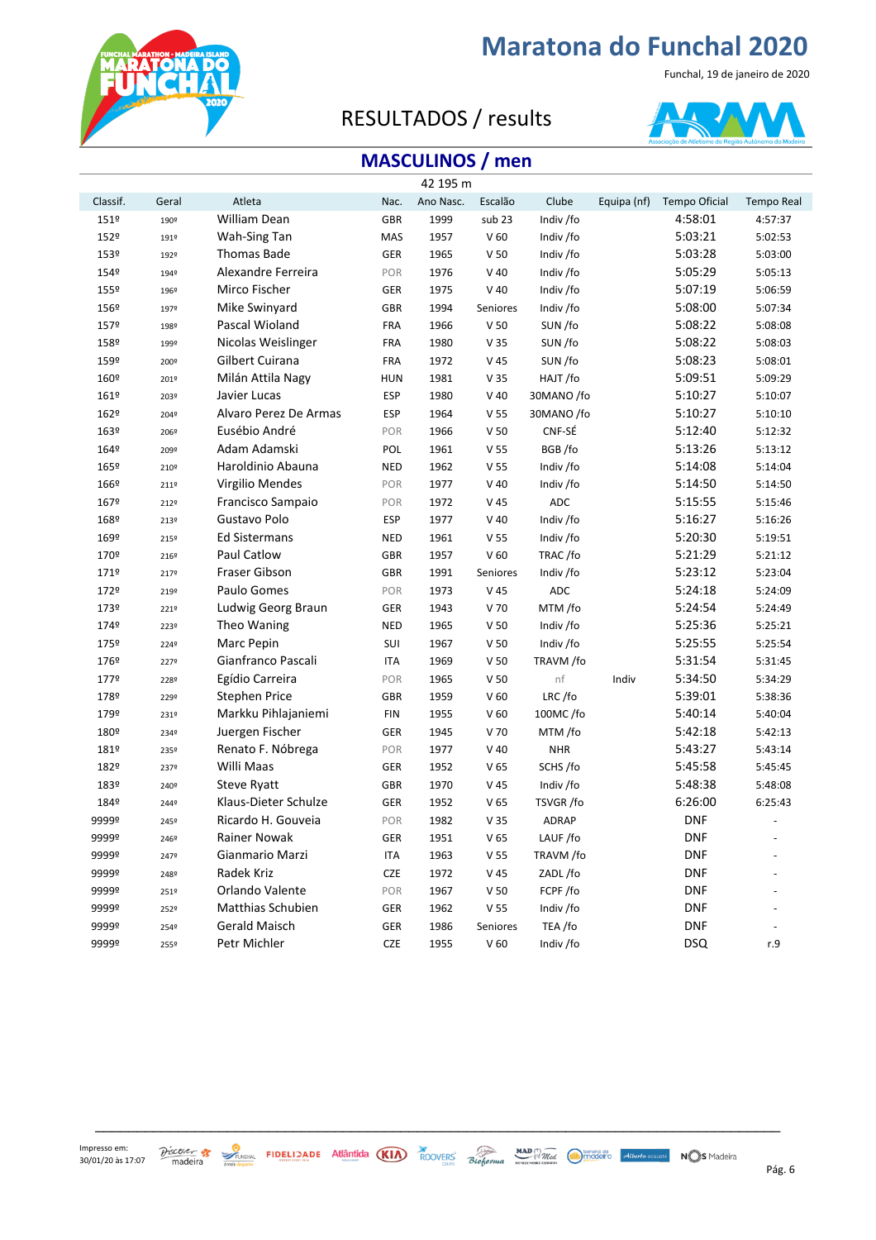

Funchal, 19 de janeiro de 2020

### RESULTADOS / results



### **MASCULINOS / men**

|          |       |                       |            | 42 195 m  |                 |              |             |               |                   |
|----------|-------|-----------------------|------------|-----------|-----------------|--------------|-------------|---------------|-------------------|
| Classif. | Geral | Atleta                | Nac.       | Ano Nasc. | Escalão         | Clube        | Equipa (nf) | Tempo Oficial | <b>Tempo Real</b> |
| 151º     | 190º  | William Dean          | <b>GBR</b> | 1999      | sub 23          | Indiv /fo    |             | 4:58:01       | 4:57:37           |
| 152º     | 191º  | Wah-Sing Tan          | MAS        | 1957      | V <sub>60</sub> | Indiv /fo    |             | 5:03:21       | 5:02:53           |
| 153º     | 192º  | <b>Thomas Bade</b>    | GER        | 1965      | V <sub>50</sub> | Indiv /fo    |             | 5:03:28       | 5:03:00           |
| 154º     | 1949  | Alexandre Ferreira    | POR        | 1976      | $V$ 40          | Indiv /fo    |             | 5:05:29       | 5:05:13           |
| 155º     | 196º  | Mirco Fischer         | <b>GER</b> | 1975      | $V$ 40          | Indiv /fo    |             | 5:07:19       | 5:06:59           |
| 156º     | 197º  | Mike Swinyard         | <b>GBR</b> | 1994      | Seniores        | Indiv /fo    |             | 5:08:00       | 5:07:34           |
| 157º     | 198º  | Pascal Wioland        | <b>FRA</b> | 1966      | V <sub>50</sub> | SUN /fo      |             | 5:08:22       | 5:08:08           |
| 158º     | 199º  | Nicolas Weislinger    | <b>FRA</b> | 1980      | V <sub>35</sub> | SUN /fo      |             | 5:08:22       | 5:08:03           |
| 159º     | 200º  | Gilbert Cuirana       | <b>FRA</b> | 1972      | V 45            | SUN /fo      |             | 5:08:23       | 5:08:01           |
| 160º     | 201º  | Milán Attila Nagy     | <b>HUN</b> | 1981      | V <sub>35</sub> | HAJT/fo      |             | 5:09:51       | 5:09:29           |
| 161º     | 203º  | Javier Lucas          | <b>ESP</b> | 1980      | $V$ 40          | 30MANO /fo   |             | 5:10:27       | 5:10:07           |
| 162º     | 2049  | Alvaro Perez De Armas | <b>ESP</b> | 1964      | V 55            | 30MANO /fo   |             | 5:10:27       | 5:10:10           |
| 163º     | 2069  | Eusébio André         | POR        | 1966      | V 50            | CNF-SÉ       |             | 5:12:40       | 5:12:32           |
| 164º     | 209º  | Adam Adamski          | POL        | 1961      | V 55            | BGB/fo       |             | 5:13:26       | 5:13:12           |
| 165º     | 210º  | Haroldinio Abauna     | <b>NED</b> | 1962      | V 55            | Indiv /fo    |             | 5:14:08       | 5:14:04           |
| 166º     | 211º  | Virgilio Mendes       | POR        | 1977      | $V$ 40          | Indiv /fo    |             | 5:14:50       | 5:14:50           |
| 167º     | 212º  | Francisco Sampaio     | POR        | 1972      | V 45            | ADC          |             | 5:15:55       | 5:15:46           |
| 168º     | 213º  | Gustavo Polo          | ESP        | 1977      | $V$ 40          | Indiv /fo    |             | 5:16:27       | 5:16:26           |
| 169º     | 215º  | <b>Ed Sistermans</b>  | <b>NED</b> | 1961      | V 55            | Indiv /fo    |             | 5:20:30       | 5:19:51           |
| 170º     | 2169  | Paul Catlow           | <b>GBR</b> | 1957      | V <sub>60</sub> | TRAC/fo      |             | 5:21:29       | 5:21:12           |
| 1719     | 2179  | Fraser Gibson         | <b>GBR</b> | 1991      | Seniores        | Indiv /fo    |             | 5:23:12       | 5:23:04           |
| 172º     | 219º  | Paulo Gomes           | POR        | 1973      | V <sub>45</sub> | ADC          |             | 5:24:18       | 5:24:09           |
| 173º     | 2219  | Ludwig Georg Braun    | <b>GER</b> | 1943      | V 70            | MTM /fo      |             | 5:24:54       | 5:24:49           |
| 174º     | 223º  | Theo Waning           | <b>NED</b> | 1965      | V <sub>50</sub> | Indiv /fo    |             | 5:25:36       | 5:25:21           |
| 175º     | 2249  | Marc Pepin            | SUI        | 1967      | V <sub>50</sub> | Indiv /fo    |             | 5:25:55       | 5:25:54           |
| 176º     | 2279  | Gianfranco Pascali    | <b>ITA</b> | 1969      | V 50            | TRAVM /fo    |             | 5:31:54       | 5:31:45           |
| 1779     | 2289  | Egídio Carreira       | POR        | 1965      | V <sub>50</sub> | nf           | Indiv       | 5:34:50       | 5:34:29           |
| 178º     | 229º  | <b>Stephen Price</b>  | <b>GBR</b> | 1959      | V <sub>60</sub> | LRC/fo       |             | 5:39:01       | 5:38:36           |
| 179º     | 231º  | Markku Pihlajaniemi   | <b>FIN</b> | 1955      | V <sub>60</sub> | 100MC/fo     |             | 5:40:14       | 5:40:04           |
| 180º     | 2349  | Juergen Fischer       | <b>GER</b> | 1945      | V 70            | MTM /fo      |             | 5:42:18       | 5:42:13           |
| 181º     | 2359  | Renato F. Nóbrega     | POR        | 1977      | $V$ 40          | <b>NHR</b>   |             | 5:43:27       | 5:43:14           |
| 182º     | 2379  | Willi Maas            | <b>GER</b> | 1952      | V <sub>65</sub> | SCHS /fo     |             | 5:45:58       | 5:45:45           |
| 183º     | 240º  | <b>Steve Ryatt</b>    | <b>GBR</b> | 1970      | V 45            | Indiv /fo    |             | 5:48:38       | 5:48:08           |
| 1849     | 2449  | Klaus-Dieter Schulze  | <b>GER</b> | 1952      | V <sub>65</sub> | TSVGR/fo     |             | 6:26:00       | 6:25:43           |
| 9999º    | 245º  | Ricardo H. Gouveia    | POR        | 1982      | V 35            | <b>ADRAP</b> |             | <b>DNF</b>    |                   |
| 9999º    | 2469  | Rainer Nowak          | <b>GER</b> | 1951      | V <sub>65</sub> | LAUF/fo      |             | <b>DNF</b>    |                   |
| 9999º    | 2479  | Gianmario Marzi       | ITA        | 1963      | V <sub>55</sub> | TRAVM /fo    |             | <b>DNF</b>    |                   |
| 9999º    | 248º  | Radek Kriz            | <b>CZE</b> | 1972      | V 45            | ZADL/fo      |             | <b>DNF</b>    |                   |
| 9999º    | 251º  | Orlando Valente       | POR        | 1967      | V 50            | FCPF/fo      |             | <b>DNF</b>    |                   |
| 9999º    | 252º  | Matthias Schubien     | GER        | 1962      | V 55            | Indiv /fo    |             | <b>DNF</b>    |                   |
| 9999º    | 2549  | Gerald Maisch         | <b>GER</b> | 1986      | Seniores        | TEA /fo      |             | <b>DNF</b>    |                   |
| 9999º    | 255º  | Petr Michler          | CZE        | 1955      | V <sub>60</sub> | Indiv /fo    |             | <b>DSQ</b>    | r.9               |
|          |       |                       |            |           |                 |              |             |               |                   |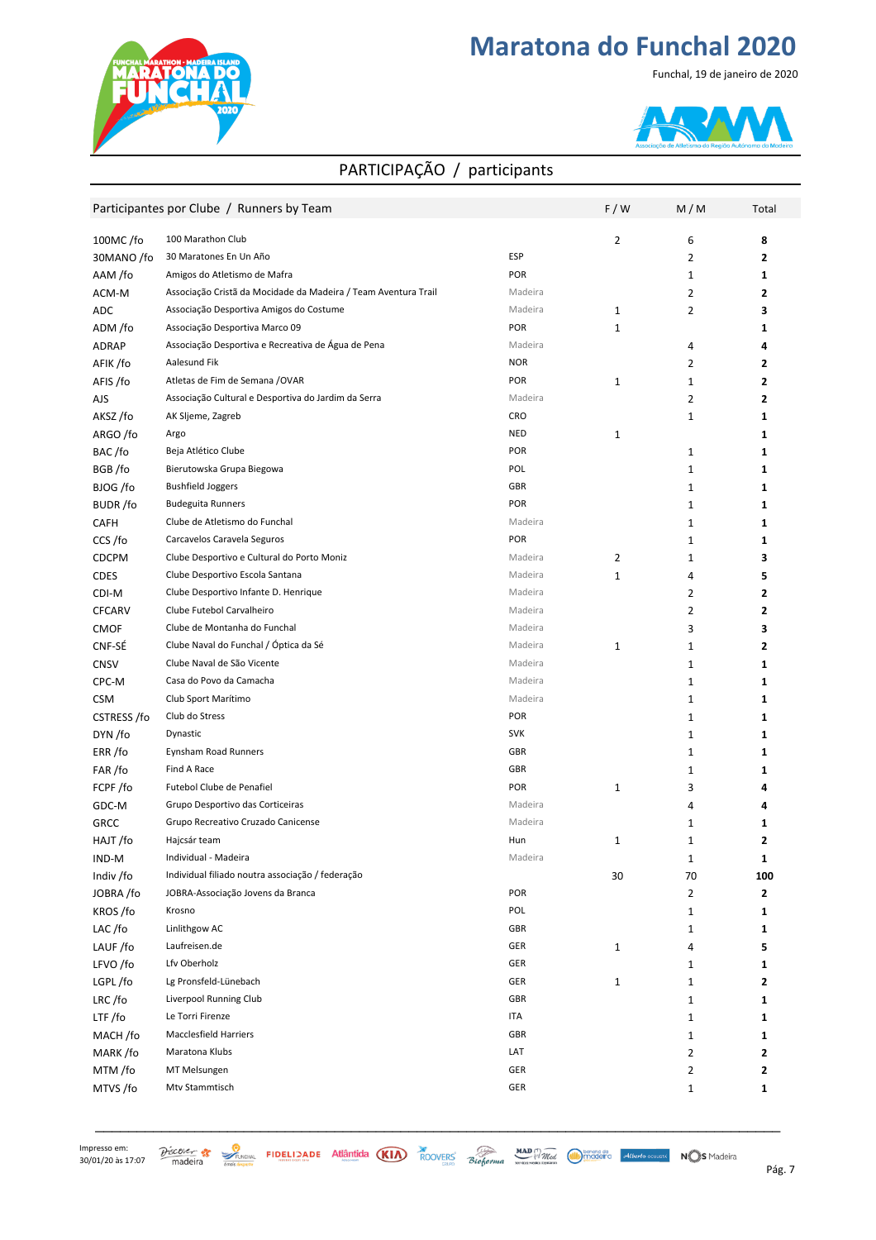



#### Funchal, 19 de janeiro de 2020



#### PARTICIPAÇÃO / participants

|                | Participantes por Clube / Runners by Team                      |            | F / W          | M/M                     | Total        |
|----------------|----------------------------------------------------------------|------------|----------------|-------------------------|--------------|
| 100MC/fo       | 100 Marathon Club                                              |            | $\overline{2}$ | 6                       | 8            |
| 30MANO /fo     | 30 Maratones En Un Año                                         | ESP        |                | $\overline{2}$          | 2            |
| AAM /fo        | Amigos do Atletismo de Mafra                                   | POR        |                | 1                       | 1            |
| ACM-M          | Associação Cristã da Mocidade da Madeira / Team Aventura Trail | Madeira    |                | $\overline{2}$          | $\mathbf{2}$ |
| <b>ADC</b>     | Associação Desportiva Amigos do Costume                        | Madeira    | 1              | $\overline{2}$          | 3            |
| ADM /fo        | Associação Desportiva Marco 09                                 | POR        | 1              |                         | 1            |
| ADRAP          | Associação Desportiva e Recreativa de Água de Pena             | Madeira    |                | $\overline{4}$          | 4            |
| AFIK /fo       | Aalesund Fik                                                   | <b>NOR</b> |                | $\overline{2}$          | $\mathbf{2}$ |
| AFIS /fo       | Atletas de Fim de Semana / OVAR                                | POR        | 1              | 1                       | $\mathbf{2}$ |
| AJS            | Associação Cultural e Desportiva do Jardim da Serra            | Madeira    |                | $\overline{2}$          | $\mathbf{2}$ |
| AKSZ/fo        | AK Sljeme, Zagreb                                              | CRO        |                | 1                       | 1            |
| ARGO /fo       | Argo                                                           | <b>NED</b> | 1              |                         | 1            |
| BAC/fo         | Beja Atlético Clube                                            | POR        |                | 1                       | 1            |
| BGB/fo         | Bierutowska Grupa Biegowa                                      | POL        |                | $1\,$                   | 1            |
| BJOG /fo       | <b>Bushfield Joggers</b>                                       | GBR        |                | 1                       | 1            |
| <b>BUDR/fo</b> | <b>Budeguita Runners</b>                                       | POR        |                | $1\,$                   | 1            |
| CAFH           | Clube de Atletismo do Funchal                                  | Madeira    |                | 1                       | 1            |
| CCS /fo        | Carcavelos Caravela Seguros                                    | POR        |                | 1                       | 1            |
| <b>CDCPM</b>   | Clube Desportivo e Cultural do Porto Moniz                     | Madeira    | 2              | 1                       | 3            |
| CDES           | Clube Desportivo Escola Santana                                | Madeira    | $\mathbf{1}$   | $\overline{4}$          | 5            |
| CDI-M          | Clube Desportivo Infante D. Henrique                           | Madeira    |                | $\overline{2}$          | $\mathbf{2}$ |
| <b>CFCARV</b>  | Clube Futebol Carvalheiro                                      | Madeira    |                | $\overline{2}$          | $\mathbf{2}$ |
| <b>CMOF</b>    | Clube de Montanha do Funchal                                   | Madeira    |                | 3                       | 3            |
| CNF-SÉ         | Clube Naval do Funchal / Óptica da Sé                          | Madeira    | $\mathbf{1}$   | $1\,$                   | $\mathbf{2}$ |
| <b>CNSV</b>    | Clube Naval de São Vicente                                     | Madeira    |                | 1                       | $\mathbf{1}$ |
| CPC-M          | Casa do Povo da Camacha                                        | Madeira    |                | $1\,$                   | $\mathbf{1}$ |
| <b>CSM</b>     | Club Sport Marítimo                                            | Madeira    |                | $1\,$                   | $\mathbf{1}$ |
| CSTRESS /fo    | Club do Stress                                                 | POR        |                | $1\,$                   | $\mathbf{1}$ |
| DYN /fo        | Dynastic                                                       | <b>SVK</b> |                | $1\,$                   | $\mathbf{1}$ |
| ERR/fo         | Eynsham Road Runners                                           | GBR        |                | $1\,$                   | 1            |
| FAR /fo        | Find A Race                                                    | GBR        |                | 1                       | 1            |
| FCPF/fo        | Futebol Clube de Penafiel                                      | POR        | $\mathbf{1}$   | 3                       | 4            |
| GDC-M          | Grupo Desportivo das Corticeiras                               | Madeira    |                | 4                       | 4            |
| <b>GRCC</b>    | Grupo Recreativo Cruzado Canicense                             | Madeira    |                | 1                       | 1            |
| HAJT/fo        | Hajcsár team                                                   | Hun        | 1              | 1                       | 2            |
| IND-M          | Individual - Madeira                                           | Madeira    |                | 1                       | 1            |
| Indiv /fo      | Individual filiado noutra associação / federação               |            | 30             | 70                      | 100          |
| JOBRA /fo      | JOBRA-Associação Jovens da Branca                              | POR        |                | $\overline{\mathbf{c}}$ | $\mathbf{2}$ |
| KROS/fo        | Krosno                                                         | POL        |                | $\mathbf{1}$            | 1            |
| LAC/fo         | Linlithgow AC                                                  | GBR        |                | $\mathbf{1}$            | 1            |
| LAUF/fo        | Laufreisen.de                                                  | GER        | 1              | 4                       | 5            |
| LFVO /fo       | Lfv Oberholz                                                   | GER        |                | 1                       | 1            |
| LGPL/fo        | Lg Pronsfeld-Lünebach                                          | GER        | 1              | $\mathbf 1$             | 2            |
| LRC/fo         | Liverpool Running Club                                         | GBR        |                | $\mathbf 1$             | 1            |
| LTF /fo        | Le Torri Firenze                                               | ITA        |                | $\mathbf 1$             | 1            |
| MACH /fo       | <b>Macclesfield Harriers</b>                                   | GBR        |                | $\mathbf 1$             | 1            |
| MARK/fo        | Maratona Klubs                                                 | LAT        |                | $\overline{\mathbf{c}}$ | 2            |
| MTM/fo         | MT Melsungen                                                   | GER        |                | $\overline{\mathbf{c}}$ | 2            |
| MTVS/fo        | Mtv Stammtisch                                                 | GER        |                | $\mathbf 1$             | 1            |
|                |                                                                |            |                |                         |              |

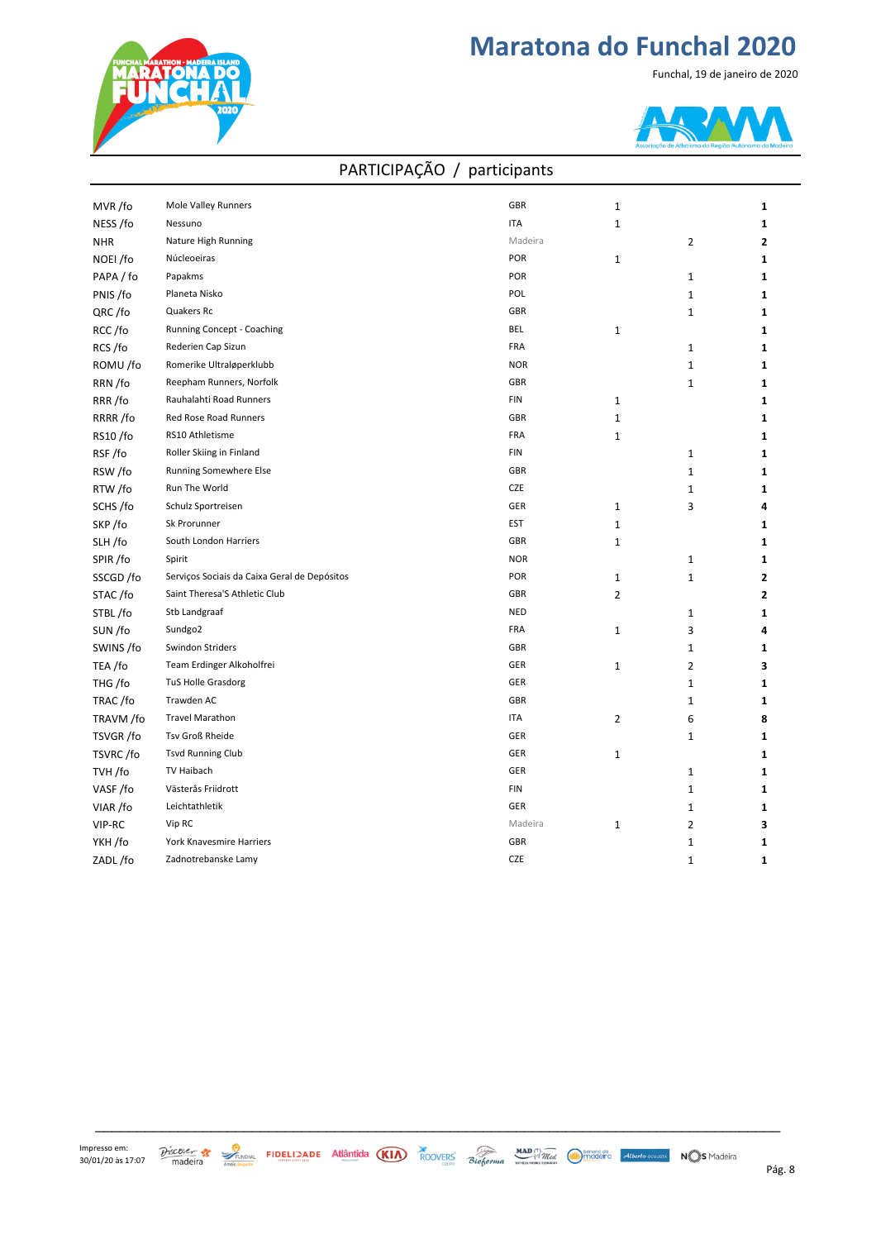### **Maratona do Funchal 2020**

Funchal, 19 de janeiro de 2020



#### MVR /fo Mole Valley Runners **1 1** NESS /fo Nessuno **1 1 1** NHR Madeira 2 **2 NOEI** /fo Núcleoeiras **1 1** PAPA / fo Papakms **1 1 1** PNIS /fo Planeta Nisko **1 1**  $QRC$  /fo Quakers Rc  $1$  **1** 1 RCC /fo Running Concept - Coaching **1 1 1** RCS /fo Rederien Cap Sizun **1 1 1** ROMU /fo Romerike Ultraløperklubb **1 1** RRN /fo Reepham Runners, Norfolk **1 1 1** RRR /fo Rauhalahti Road Runners **1 1** RRRR /fo Red Rose Road Runners **1 1 1** RS10 /fo RS10 Athletisme **1 1 1** RSF /fo Roller Skiing in Finland **1 1 1 1 1 1 1 1** RSW /fo Running Somewhere Else **1 1 1** RTW /fo Run The World **1 1 1 1 1 1** SCHS /fo Schulz Sportreisen **4** 4 and 5 and 5 and 5 and 5 and 5 and 5 and 5 and 5 and 5 and 5 and 5 and 5 and 5 and 5 and 5 and 5 and 5 and 5 and 5 and 5 and 5 and 5 and 5 and 5 and 5 and 5 and 5 and 5 and 5 and 5 and 5 an  $SKP$  fo Sk Prorunner and  $S$  and  $S$  and  $S$  EST and  $S$  and  $S$  and  $S$  and  $S$  and  $S$  and  $S$  and  $S$  and  $S$  and  $S$  and  $S$  and  $S$  and  $S$  and  $S$  and  $S$  and  $S$  and  $S$  and  $S$  and  $S$  and  $S$  and  $S$  and  $S$  and SLH /fo South London Harriers **1 1** SPIR /fo Spirit **1 1 1** SSCGD /fo Serviços Sociais da Caixa Geral de Depósitos **1** 1 1 1 2 **2** STAC /fo GBR 2 **2** Saint Theresa'S Athletic Club  $S$ TBL /fo Stb Landgraaf **1** 1 **1** SUN /fo Sundgo2 4 4 and 500 km struck and 50 km struck and 50 km struck and 50 km struck and 50 km struck and 5 SWINS /fo Swindon Striders  $\qquad \qquad$  1  $\qquad \qquad$  1 TEA /fo Team Erdinger Alkoholfrei **1** 2 3 THG /fo TuS Holle Grasdorg **1 1 1** TRAC /fo Trawden AC **1 1 1 1 1 1 1 1 1** TRAVM /fo ITA 2 6 **8**  $T$ SVGR /fo Tsv Groß Rheide  $1$  **1** 1 TSVRC /fo GER 1 **1** TVH /fo TV Haibach **1 1 1 1 1 1 1 1** VASF /fo FIN 1 **1** VIAR /fo Leichtathletik **1 1** VIP-RC Madeira 1 2 **3** YKH /fo York Knavesmire Harriers **1 1 1** ZADL /fo Zadnotrebanske Lamy **1** 1 **1** Vip RC Schulz Sportreisen Sk Prorunner Spirit Stb Landgraaf Sundgo2 Swindon Striders Trawden AC Travel Marathon Tsv Groß Rheide Tsvd Running Club TV Haibach Västerås Friidrott Leichtathletik Núcleoeiras Papakms Planeta Nisko Quakers Rc RS10 Athletisme Run The World Nessuno Nature High Running

\_\_\_\_\_\_\_\_\_\_\_\_\_\_\_\_\_\_\_\_\_\_\_\_\_\_\_\_\_\_\_\_\_\_\_\_\_\_\_\_\_\_\_\_\_\_\_\_\_\_\_\_\_\_\_\_\_\_\_\_\_\_\_\_\_\_\_\_\_\_\_\_\_\_\_\_\_\_\_\_\_\_\_

#### PARTICIPAÇÃO / participants

Impresso em: 30/01/20 às 17:07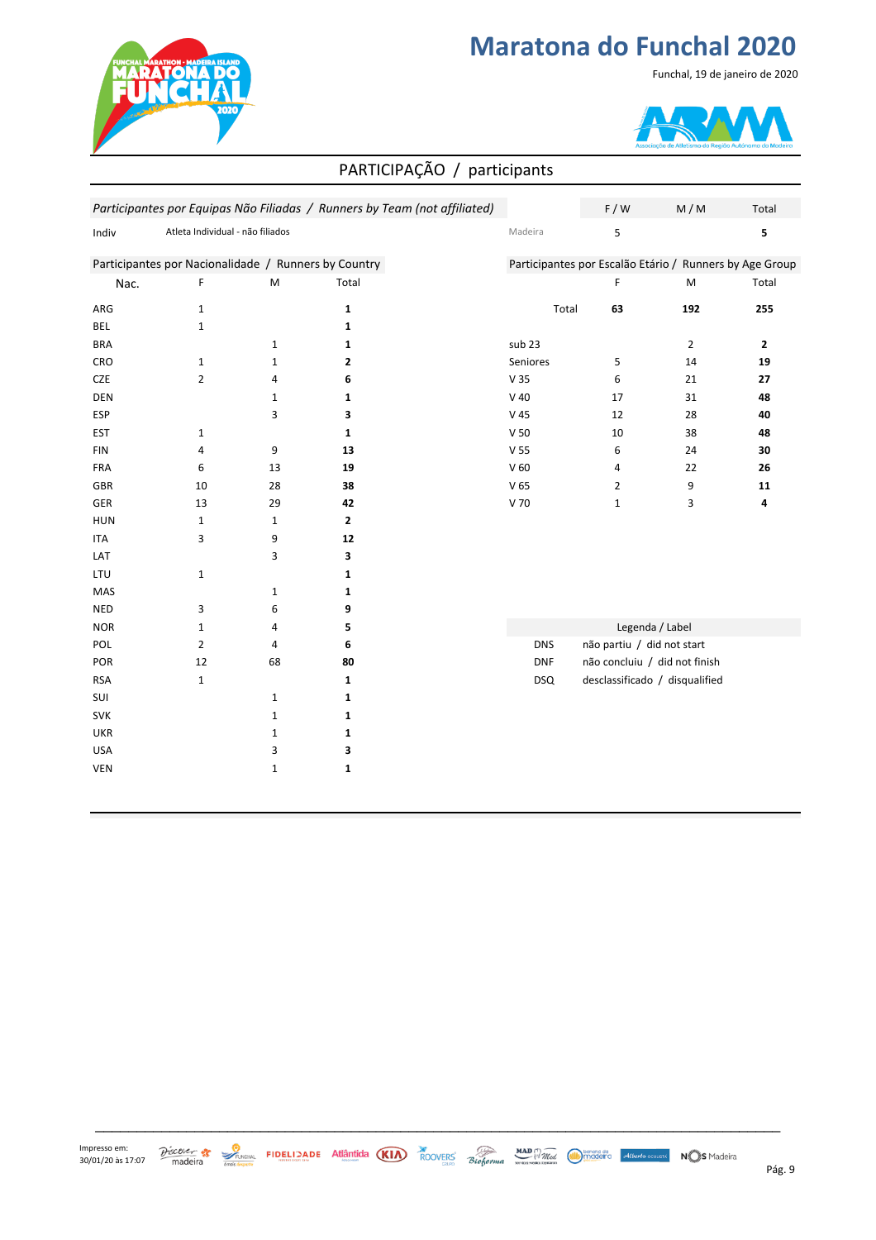Funchal, 19 de janeiro de 2020



# AV AV

#### PARTICIPAÇÃO / participants

|            |                                                      |                |              | Participantes por Equipas Não Filiadas / Runners by Team (not affiliated) |                 | F/W                                                     | M/M             | Total        |
|------------|------------------------------------------------------|----------------|--------------|---------------------------------------------------------------------------|-----------------|---------------------------------------------------------|-----------------|--------------|
|            | Atleta Individual - não filiados                     |                |              |                                                                           | Madeira         |                                                         |                 |              |
| Indiv      |                                                      |                |              |                                                                           |                 | 5                                                       |                 | 5            |
|            | Participantes por Nacionalidade / Runners by Country |                |              |                                                                           |                 | Participantes por Escalão Etário / Runners by Age Group |                 |              |
| Nac.       | F                                                    | M              | Total        |                                                                           |                 | F                                                       | M               | Total        |
| ARG        | $\mathbf{1}$                                         |                | 1            |                                                                           | Total           | 63                                                      | 192             | 255          |
| <b>BEL</b> | $\mathbf{1}$                                         |                | 1            |                                                                           |                 |                                                         |                 |              |
| <b>BRA</b> |                                                      | $\mathbf{1}$   | 1            |                                                                           | sub 23          |                                                         | $\overline{2}$  | $\mathbf{2}$ |
| CRO        | $\mathbf{1}$                                         | $\mathbf{1}$   | 2            |                                                                           | Seniores        | 5                                                       | 14              | 19           |
| CZE        | $\overline{2}$                                       | 4              | 6            |                                                                           | V <sub>35</sub> | 6                                                       | 21              | 27           |
| DEN        |                                                      | $\mathbf{1}$   | 1            |                                                                           | $V$ 40          | 17                                                      | 31              | 48           |
| <b>ESP</b> |                                                      | 3              | 3            |                                                                           | V <sub>45</sub> | 12                                                      | 28              | 40           |
| <b>EST</b> | $\mathbf{1}$                                         |                | 1            |                                                                           | V <sub>50</sub> | 10                                                      | 38              | 48           |
| <b>FIN</b> | 4                                                    | 9              | 13           |                                                                           | V <sub>55</sub> | 6                                                       | 24              | 30           |
| FRA        | 6                                                    | 13             | 19           |                                                                           | V <sub>60</sub> | 4                                                       | 22              | 26           |
| GBR        | 10                                                   | 28             | 38           |                                                                           | V <sub>65</sub> | $\overline{2}$                                          | 9               | 11           |
| GER        | 13                                                   | 29             | 42           |                                                                           | V 70            | $\mathbf{1}$                                            | 3               | 4            |
| <b>HUN</b> | $\mathbf{1}$                                         | $\mathbf{1}$   | $\mathbf{2}$ |                                                                           |                 |                                                         |                 |              |
| <b>ITA</b> | 3                                                    | 9              | 12           |                                                                           |                 |                                                         |                 |              |
| LAT        |                                                      | 3              | 3            |                                                                           |                 |                                                         |                 |              |
| LTU        | $\mathbf{1}$                                         |                | 1            |                                                                           |                 |                                                         |                 |              |
| MAS        |                                                      | $\mathbf{1}$   | 1            |                                                                           |                 |                                                         |                 |              |
| <b>NED</b> | 3                                                    | 6              | 9            |                                                                           |                 |                                                         |                 |              |
| <b>NOR</b> | $\mathbf{1}$                                         | $\overline{4}$ | 5            |                                                                           |                 |                                                         | Legenda / Label |              |
| POL        | $\overline{2}$                                       | 4              | 6            |                                                                           | <b>DNS</b>      | não partiu / did not start                              |                 |              |
| POR        | 12                                                   | 68             | 80           |                                                                           | <b>DNF</b>      | não concluiu / did not finish                           |                 |              |
| <b>RSA</b> | $\mathbf{1}$                                         |                | 1            |                                                                           | <b>DSQ</b>      | desclassificado / disqualified                          |                 |              |
| SUI        |                                                      | $\mathbf{1}$   | 1            |                                                                           |                 |                                                         |                 |              |
| <b>SVK</b> |                                                      | $\mathbf{1}$   | 1            |                                                                           |                 |                                                         |                 |              |
| <b>UKR</b> |                                                      | $\mathbf{1}$   | 1            |                                                                           |                 |                                                         |                 |              |
| <b>USA</b> |                                                      | 3              | 3            |                                                                           |                 |                                                         |                 |              |
| <b>VEN</b> |                                                      | $\mathbf{1}$   | 1            |                                                                           |                 |                                                         |                 |              |
|            |                                                      |                |              |                                                                           |                 |                                                         |                 |              |

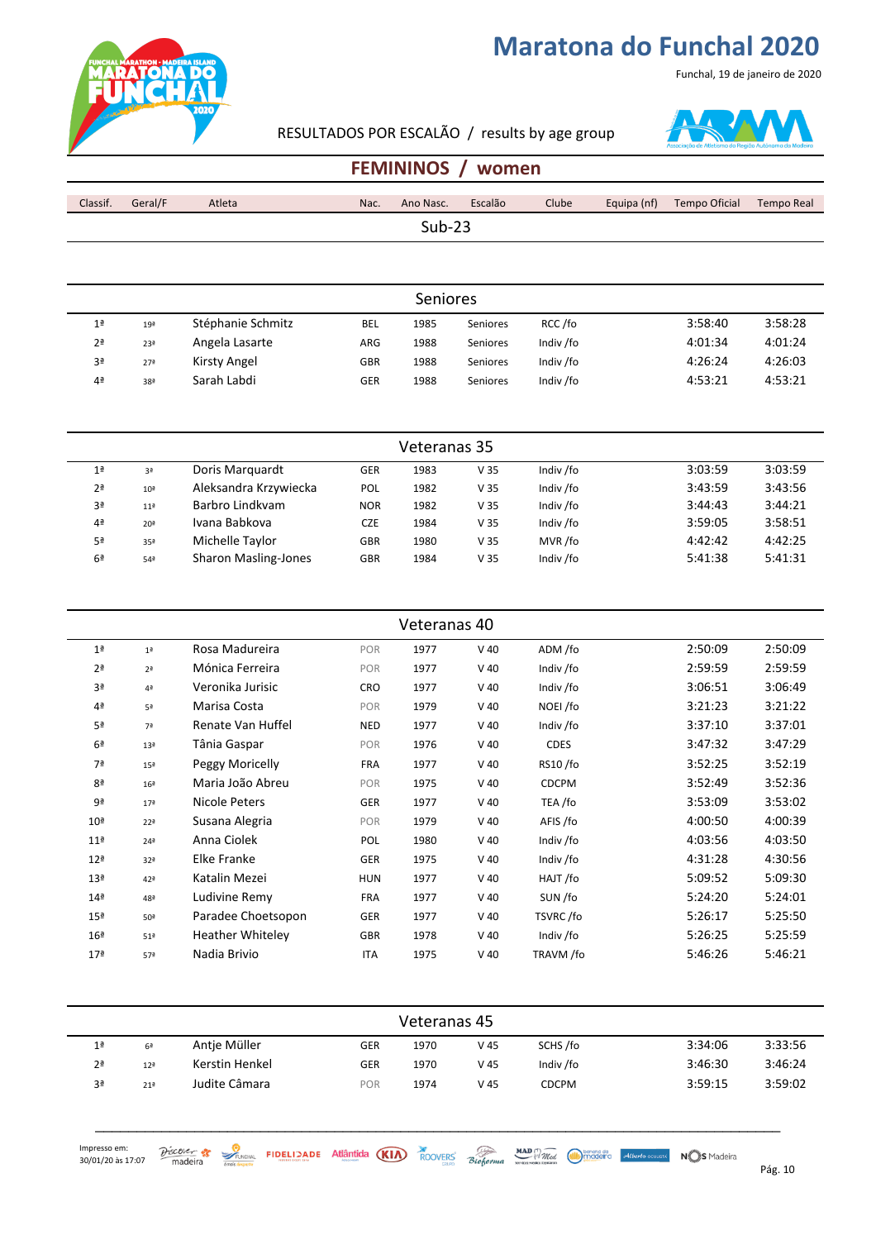

#### RESULTADOS POR ESCALÃO / results by age group



Funchal, 19 de janeiro de 2020

#### **FEMININOS / women**

| Classif. | Geral/F | Atleta | Nac. | Ano Nasc. | Escalão | Clube |  | Equipa (nf) Tempo Oficial | Tempo Real |
|----------|---------|--------|------|-----------|---------|-------|--|---------------------------|------------|
| $Sub-23$ |         |        |      |           |         |       |  |                           |            |
|          |         |        |      |           |         |       |  |                           |            |

|                |                 |                   |            | <b>Seniores</b> |          |           |         |         |
|----------------|-----------------|-------------------|------------|-----------------|----------|-----------|---------|---------|
| 1 <sup>a</sup> | 19ª             | Stéphanie Schmitz | <b>BEL</b> | 1985            | Seniores | RCC /fo   | 3:58:40 | 3:58:28 |
| 2 <sup>a</sup> | 23ª             | Angela Lasarte    | ARG        | 1988            | Seniores | Indiv /fo | 4:01:34 | 4:01:24 |
| 3ª             | 27 <sup>a</sup> | Kirsty Angel      | <b>GBR</b> | 1988            | Seniores | Indiv /fo | 4:26:24 | 4:26:03 |
| 4 <sup>a</sup> | 38ª             | Sarah Labdi       | <b>GER</b> | 1988            | Seniores | Indiv /fo | 4:53:21 | 4:53:21 |

|                | Veteranas 35    |                             |            |      |                 |           |         |         |  |  |  |  |
|----------------|-----------------|-----------------------------|------------|------|-----------------|-----------|---------|---------|--|--|--|--|
| 1 <sup>a</sup> | 3ª              | Doris Marguardt             | <b>GER</b> | 1983 | V <sub>35</sub> | Indiv /fo | 3:03:59 | 3:03:59 |  |  |  |  |
| 2 <sup>a</sup> | 10 <sup>a</sup> | Aleksandra Krzywiecka       | POL        | 1982 | V <sub>35</sub> | Indiv /fo | 3:43:59 | 3:43:56 |  |  |  |  |
| 3ª             | 11 <sup>2</sup> | Barbro Lindkvam             | <b>NOR</b> | 1982 | V <sub>35</sub> | Indiv /fo | 3:44:43 | 3:44:21 |  |  |  |  |
| 4 <sup>a</sup> | 20 <sup>a</sup> | Ivana Babkova               | <b>CZE</b> | 1984 | V <sub>35</sub> | Indiv /fo | 3:59:05 | 3:58:51 |  |  |  |  |
| 5 <sup>a</sup> | 35ª             | Michelle Taylor             | <b>GBR</b> | 1980 | V <sub>35</sub> | MVR /fo   | 4:42:42 | 4:42:25 |  |  |  |  |
| 6 <sup>a</sup> | 54 <sup>a</sup> | <b>Sharon Masling-Jones</b> | <b>GBR</b> | 1984 | V <sub>35</sub> | Indiv /fo | 5:41:38 | 5:41:31 |  |  |  |  |

|                 | Veteranas 40       |                         |            |      |        |              |         |         |  |  |  |
|-----------------|--------------------|-------------------------|------------|------|--------|--------------|---------|---------|--|--|--|
| 1 <sup>a</sup>  | 1 <sup>2</sup>     | Rosa Madureira          | POR        | 1977 | $V$ 40 | ADM/fo       | 2:50:09 | 2:50:09 |  |  |  |
| 2 <sup>a</sup>  | 2 <sup>a</sup>     | Mónica Ferreira         | POR        | 1977 | $V$ 40 | Indiv /fo    | 2:59:59 | 2:59:59 |  |  |  |
| 3ª              | 4ª                 | Veronika Jurisic        | <b>CRO</b> | 1977 | $V$ 40 | Indiv /fo    | 3:06:51 | 3:06:49 |  |  |  |
| 4 <sup>a</sup>  | 5ª                 | Marisa Costa            | POR        | 1979 | $V$ 40 | NOEI /fo     | 3:21:23 | 3:21:22 |  |  |  |
| 5 <sup>a</sup>  | <b>7ª</b>          | Renate Van Huffel       | <b>NED</b> | 1977 | $V$ 40 | Indiv /fo    | 3:37:10 | 3:37:01 |  |  |  |
| 6 <sup>a</sup>  | 13 <sup>a</sup>    | Tânia Gaspar            | POR        | 1976 | $V$ 40 | <b>CDES</b>  | 3:47:32 | 3:47:29 |  |  |  |
| 7ª              | 15 <sup>a</sup>    | Peggy Moricelly         | <b>FRA</b> | 1977 | $V$ 40 | RS10/fo      | 3:52:25 | 3:52:19 |  |  |  |
| 8 <sup>a</sup>  | 16 <sup>a</sup>    | Maria João Abreu        | POR        | 1975 | $V$ 40 | <b>CDCPM</b> | 3:52:49 | 3:52:36 |  |  |  |
| 9ª              | 17 <sup>a</sup>    | Nicole Peters           | GER        | 1977 | $V$ 40 | TEA /fo      | 3:53:09 | 3:53:02 |  |  |  |
| 10 <sup>a</sup> | 22 <sup>a</sup>    | Susana Alegria          | POR        | 1979 | $V$ 40 | AFIS /fo     | 4:00:50 | 4:00:39 |  |  |  |
| 11 <sup>a</sup> | $24^{\frac{3}{2}}$ | Anna Ciolek             | POL        | 1980 | $V$ 40 | Indiv /fo    | 4:03:56 | 4:03:50 |  |  |  |
| 12 <sup>a</sup> | 32 <sup>a</sup>    | Elke Franke             | <b>GER</b> | 1975 | $V$ 40 | Indiv /fo    | 4:31:28 | 4:30:56 |  |  |  |
| 13 <sup>a</sup> | 42ª                | Katalin Mezei           | <b>HUN</b> | 1977 | $V$ 40 | HAJT /fo     | 5:09:52 | 5:09:30 |  |  |  |
| 14 <sup>a</sup> | 48ª                | Ludivine Remy           | <b>FRA</b> | 1977 | $V$ 40 | SUN /fo      | 5:24:20 | 5:24:01 |  |  |  |
| 15 <sup>a</sup> | 50ª                | Paradee Choetsopon      | GER        | 1977 | $V$ 40 | TSVRC/fo     | 5:26:17 | 5:25:50 |  |  |  |
| 16 <sup>a</sup> | 51 <sup>a</sup>    | <b>Heather Whiteley</b> | <b>GBR</b> | 1978 | $V$ 40 | Indiv /fo    | 5:26:25 | 5:25:59 |  |  |  |
| 17 <sup>a</sup> | 57ª                | Nadia Brivio            | <b>ITA</b> | 1975 | $V$ 40 | TRAVM /fo    | 5:46:26 | 5:46:21 |  |  |  |

| Veteranas 45   |                 |                |            |      |      |              |         |         |  |  |
|----------------|-----------------|----------------|------------|------|------|--------------|---------|---------|--|--|
| 1 <sup>a</sup> | 6 <sup>a</sup>  | Antie Müller   | <b>GER</b> | 1970 | V 45 | SCHS /fo     | 3:34:06 | 3:33:56 |  |  |
| 2 <sup>a</sup> | 12 <sup>a</sup> | Kerstin Henkel | GER        | 1970 | V 45 | Indiv /fo    | 3:46:30 | 3:46:24 |  |  |
| 3ª             | 21 <sup>a</sup> | Judite Câmara  | POR        | 1974 | V 45 | <b>CDCPM</b> | 3:59:15 | 3:59:02 |  |  |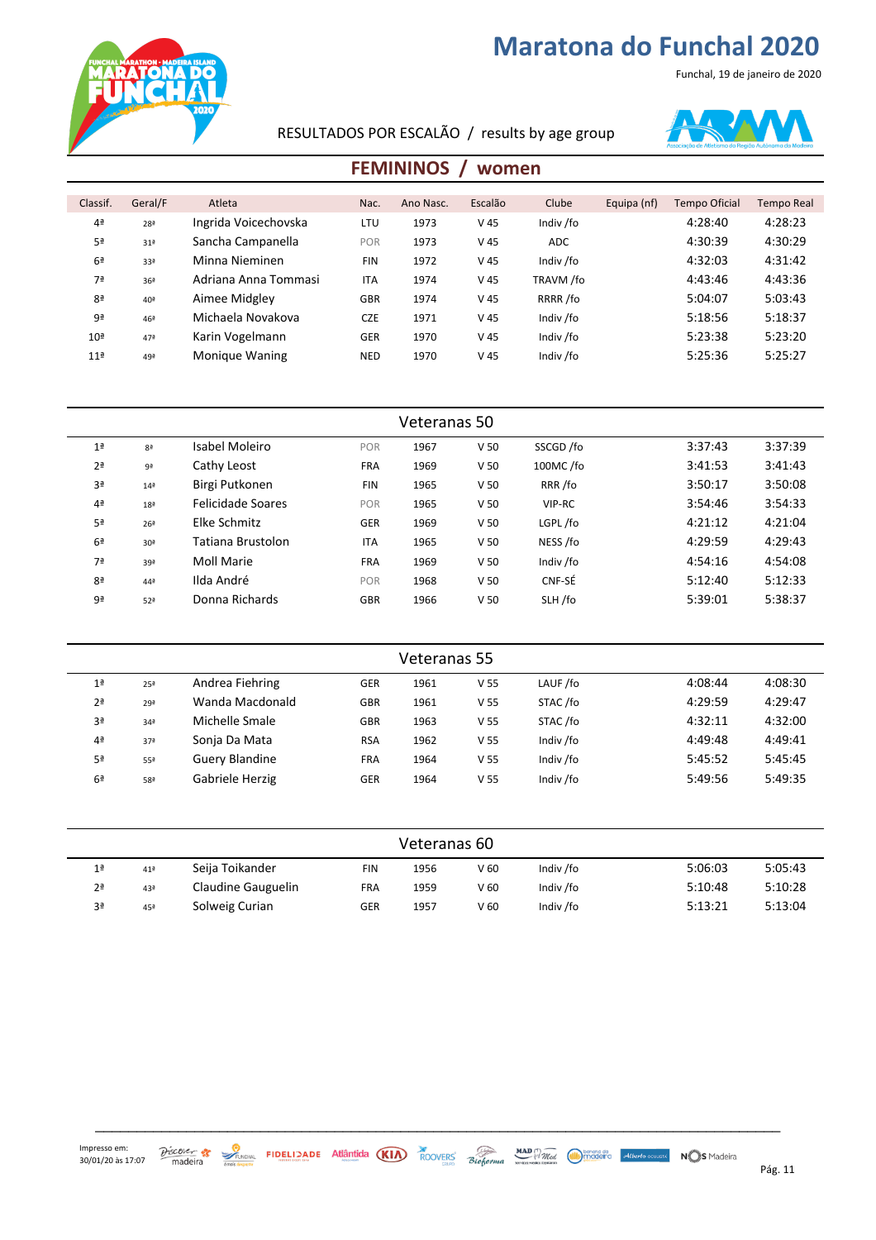Funchal, 19 de janeiro de 2020



#### RESULTADOS POR ESCALÃO / results by age group



#### **FEMININOS / women**

| Classif.        | Geral/F         | Atleta               | Nac.       | Ano Nasc. | Escalão         | Clube     | Equipa (nf) | <b>Tempo Oficial</b> | <b>Tempo Real</b> |
|-----------------|-----------------|----------------------|------------|-----------|-----------------|-----------|-------------|----------------------|-------------------|
| 4 <sup>a</sup>  | 28ª             | Ingrida Voicechovska | LTU        | 1973      | V <sub>45</sub> | Indiv /fo |             | 4:28:40              | 4:28:23           |
| 5ª              | 31 <sup>a</sup> | Sancha Campanella    | POR        | 1973      | V <sub>45</sub> | ADC       |             | 4:30:39              | 4:30:29           |
| 6 <sup>a</sup>  | 33 <sup>a</sup> | Minna Nieminen       | <b>FIN</b> | 1972      | V <sub>45</sub> | Indiv /fo |             | 4:32:03              | 4:31:42           |
| 7ª              | 36 <sup>a</sup> | Adriana Anna Tommasi | <b>ITA</b> | 1974      | V <sub>45</sub> | TRAVM /fo |             | 4:43:46              | 4:43:36           |
| 8ª              | 40ª             | Aimee Midgley        | <b>GBR</b> | 1974      | V <sub>45</sub> | RRRR /fo  |             | 5:04:07              | 5:03:43           |
| 9ª              | 46 <sup>3</sup> | Michaela Novakova    | <b>CZE</b> | 1971      | V <sub>45</sub> | Indiv /fo |             | 5:18:56              | 5:18:37           |
| 10 <sup>a</sup> | 47ª             | Karin Vogelmann      | <b>GER</b> | 1970      | V <sub>45</sub> | Indiv /fo |             | 5:23:38              | 5:23:20           |
| 11 <sup>a</sup> | 49ª             | Monique Waning       | <b>NED</b> | 1970      | V <sub>45</sub> | Indiv /fo |             | 5:25:36              | 5:25:27           |
|                 |                 |                      |            |           |                 |           |             |                      |                   |

| Veteranas 50   |                 |                          |            |      |                 |           |         |         |  |  |  |
|----------------|-----------------|--------------------------|------------|------|-----------------|-----------|---------|---------|--|--|--|
| 1 <sup>a</sup> | 8 <sup>a</sup>  | Isabel Moleiro           | <b>POR</b> | 1967 | V <sub>50</sub> | SSCGD /fo | 3:37:43 | 3:37:39 |  |  |  |
| 2 <sup>a</sup> | 9ª              | Cathy Leost              | <b>FRA</b> | 1969 | V <sub>50</sub> | 100MC/fo  | 3:41:53 | 3:41:43 |  |  |  |
| 3ª             | 14 <sup>a</sup> | Birgi Putkonen           | <b>FIN</b> | 1965 | V <sub>50</sub> | RRR /fo   | 3:50:17 | 3:50:08 |  |  |  |
| 4 <sup>a</sup> | 18 <sup>a</sup> | <b>Felicidade Soares</b> | POR        | 1965 | V <sub>50</sub> | VIP-RC    | 3:54:46 | 3:54:33 |  |  |  |
| 5 <sup>a</sup> | 26 <sup>a</sup> | Elke Schmitz             | <b>GER</b> | 1969 | V <sub>50</sub> | LGPL /fo  | 4:21:12 | 4:21:04 |  |  |  |
| 6 <sup>a</sup> | 30 <sup>a</sup> | Tatiana Brustolon        | <b>ITA</b> | 1965 | V <sub>50</sub> | NESS /fo  | 4:29:59 | 4:29:43 |  |  |  |
| 7ª             | 39ª             | Moll Marie               | <b>FRA</b> | 1969 | V <sub>50</sub> | Indiv /fo | 4:54:16 | 4:54:08 |  |  |  |
| 8 <sup>a</sup> | 44ª             | Ilda André               | POR        | 1968 | V <sub>50</sub> | CNF-SÉ    | 5:12:40 | 5:12:33 |  |  |  |
| 9ª             | 52ª             | Donna Richards           | <b>GBR</b> | 1966 | V <sub>50</sub> | SLH/fo    | 5:39:01 | 5:38:37 |  |  |  |

| Veteranas 55   |                 |                       |            |      |                 |           |         |         |  |  |  |
|----------------|-----------------|-----------------------|------------|------|-----------------|-----------|---------|---------|--|--|--|
| 1 <sup>a</sup> | 25 <sup>a</sup> | Andrea Fiehring       | <b>GER</b> | 1961 | V <sub>55</sub> | LAUF /fo  | 4:08:44 | 4:08:30 |  |  |  |
| 2 <sup>a</sup> | 29ª             | Wanda Macdonald       | <b>GBR</b> | 1961 | V <sub>55</sub> | STAC/fo   | 4:29:59 | 4:29:47 |  |  |  |
| 3ª             | 34 <sup>a</sup> | Michelle Smale        | <b>GBR</b> | 1963 | V <sub>55</sub> | STAC/fo   | 4:32:11 | 4:32:00 |  |  |  |
| 4 <sup>a</sup> | 37 <sup>a</sup> | Sonja Da Mata         | <b>RSA</b> | 1962 | V <sub>55</sub> | Indiv /fo | 4:49:48 | 4:49:41 |  |  |  |
| 5ª             | 55ª             | <b>Guery Blandine</b> | <b>FRA</b> | 1964 | V <sub>55</sub> | Indiv /fo | 5:45:52 | 5:45:45 |  |  |  |
| 6 <sup>a</sup> | 58ª             | Gabriele Herzig       | <b>GER</b> | 1964 | V <sub>55</sub> | Indiv /fo | 5:49:56 | 5:49:35 |  |  |  |

| Veteranas 60   |     |                    |            |      |      |           |         |         |  |  |
|----------------|-----|--------------------|------------|------|------|-----------|---------|---------|--|--|
| 1ª             | 41ª | Seija Toikander    | FIN        | 1956 | V 60 | Indiv /fo | 5:06:03 | 5:05:43 |  |  |
| 2 <sup>a</sup> | 43ª | Claudine Gauguelin | <b>FRA</b> | 1959 | V 60 | Indiv /fo | 5:10:48 | 5:10:28 |  |  |
| 3ª             | 45ª | Solweig Curian     | <b>GER</b> | 1957 | V 60 | Indiv /fo | 5:13:21 | 5:13:04 |  |  |

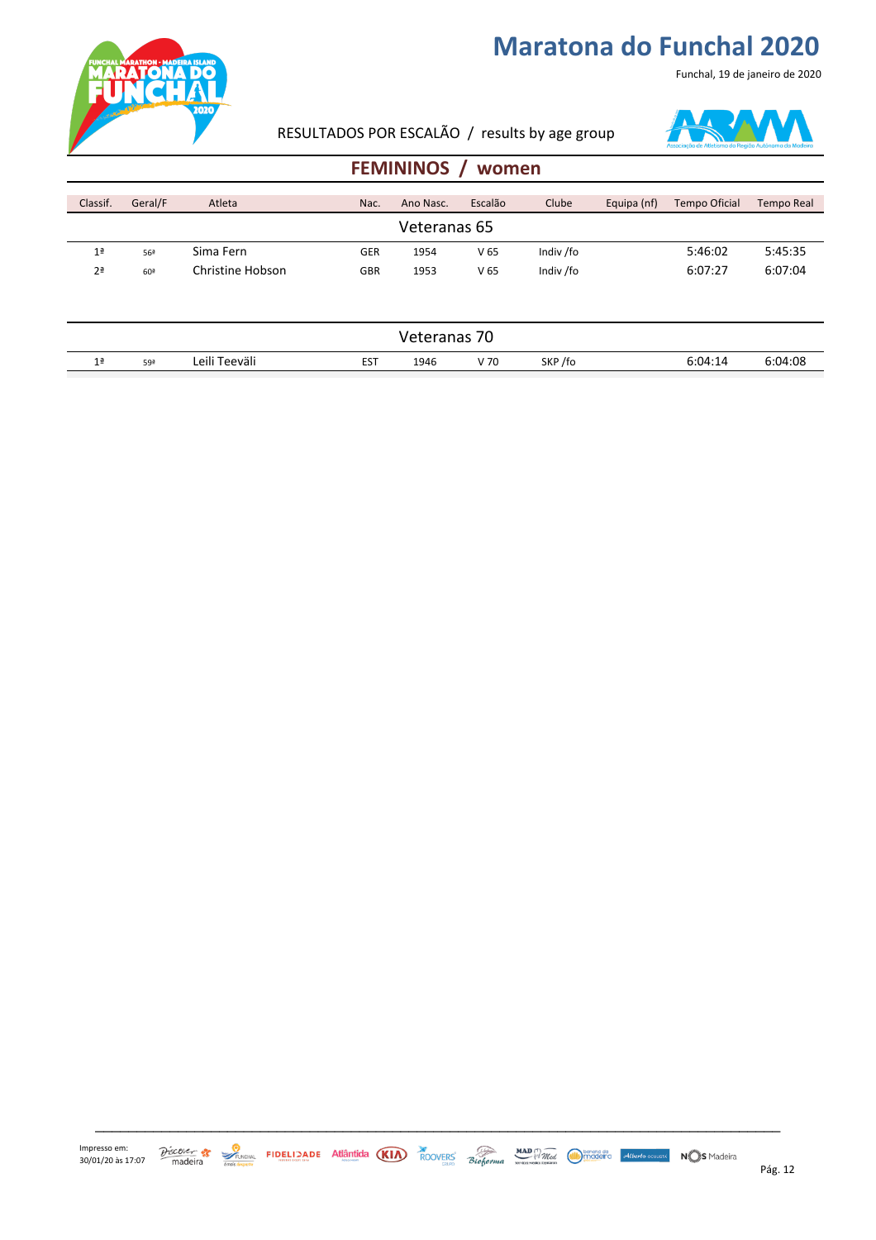Funchal, 19 de janeiro de 2020



RESULTADOS POR ESCALÃO / results by age group



#### **FEMININOS / women**

| Classif.       | Geral/F         | Atleta           | Nac.       | Ano Nasc. | Escalão         | Clube     | Equipa (nf) | Tempo Oficial | Tempo Real |
|----------------|-----------------|------------------|------------|-----------|-----------------|-----------|-------------|---------------|------------|
| Veteranas 65   |                 |                  |            |           |                 |           |             |               |            |
| 1 <sup>a</sup> | 56ª             | Sima Fern        | <b>GER</b> | 1954      | V <sub>65</sub> | Indiv /fo |             | 5:46:02       | 5:45:35    |
| 2 <sup>a</sup> | 60 <sup>a</sup> | Christine Hobson | <b>GBR</b> | 1953      | V <sub>65</sub> | Indiv /fo |             | 6:07:27       | 6:07:04    |
|                |                 |                  |            |           |                 |           |             |               |            |

|                     |     |               |            | Veteranas | $\overline{\phantom{a}}$<br>v |        |         |         |
|---------------------|-----|---------------|------------|-----------|-------------------------------|--------|---------|---------|
| 1 <sup>a</sup><br>- | 59ª | Leili Teeväli | <b>EST</b> | 1946      | V <sub>70</sub>               | SKP/fo | 6:04:14 | 6:04:08 |

Impresso em: 





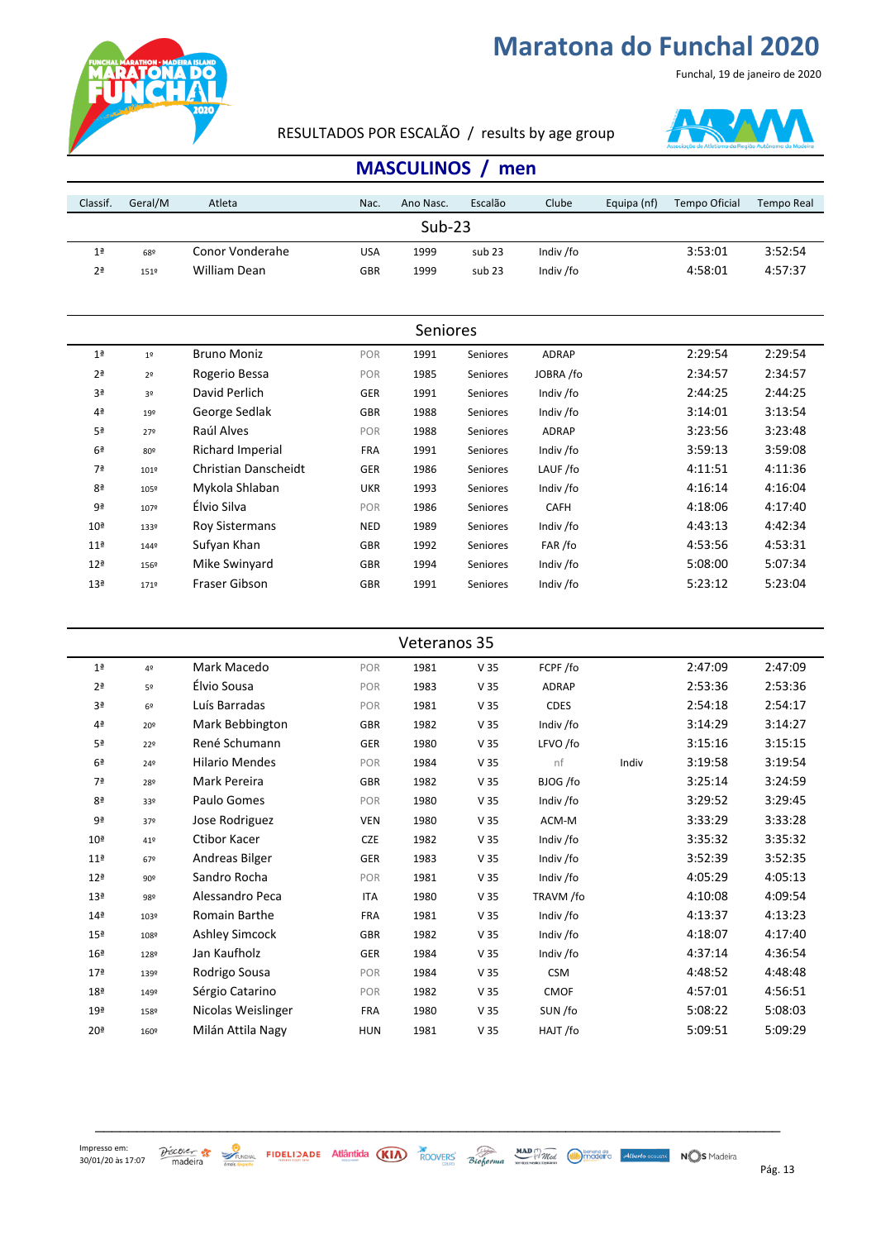

Funchal, 19 de janeiro de 2020

#### RESULTADOS POR ESCALÃO / results by age group



#### **MASCULINOS** / men

| Classif.        | Geral/M        | Atleta                | Nac.       | Ano Nasc. | Escalão  | Clube        | Equipa (nf) | <b>Tempo Oficial</b> | Tempo Real |  |  |  |
|-----------------|----------------|-----------------------|------------|-----------|----------|--------------|-------------|----------------------|------------|--|--|--|
|                 | $Sub-23$       |                       |            |           |          |              |             |                      |            |  |  |  |
| 1 <sup>a</sup>  | 68º            | Conor Vonderahe       | <b>USA</b> | 1999      | sub 23   | Indiv /fo    |             | 3:53:01              | 3:52:54    |  |  |  |
| 2 <sup>a</sup>  | 1519           | William Dean          | <b>GBR</b> | 1999      | sub 23   | Indiv /fo    |             | 4:58:01              | 4:57:37    |  |  |  |
|                 |                |                       |            |           |          |              |             |                      |            |  |  |  |
|                 |                |                       |            |           |          |              |             |                      |            |  |  |  |
| Seniores        |                |                       |            |           |          |              |             |                      |            |  |  |  |
| 1 <sup>a</sup>  | 1 <sup>°</sup> | <b>Bruno Moniz</b>    | POR        | 1991      | Seniores | <b>ADRAP</b> |             | 2:29:54              | 2:29:54    |  |  |  |
| 2 <sup>a</sup>  | 2 <sup>o</sup> | Rogerio Bessa         | POR        | 1985      | Seniores | JOBRA /fo    |             | 2:34:57              | 2:34:57    |  |  |  |
| 3 <sup>a</sup>  | 3 <sup>o</sup> | David Perlich         | <b>GER</b> | 1991      | Seniores | Indiv /fo    |             | 2:44:25              | 2:44:25    |  |  |  |
| 4 <sup>a</sup>  | 192            | George Sedlak         | <b>GBR</b> | 1988      | Seniores | Indiv /fo    |             | 3:14:01              | 3:13:54    |  |  |  |
| 5ª              | 27º            | Raúl Alves            | POR        | 1988      | Seniores | ADRAP        |             | 3:23:56              | 3:23:48    |  |  |  |
| 6 <sup>a</sup>  | 80º            | Richard Imperial      | <b>FRA</b> | 1991      | Seniores | Indiv /fo    |             | 3:59:13              | 3:59:08    |  |  |  |
| 7ª              | 1019           | Christian Danscheidt  | <b>GER</b> | 1986      | Seniores | LAUF/fo      |             | 4:11:51              | 4:11:36    |  |  |  |
| 8ª              | 105º           | Mykola Shlaban        | <b>UKR</b> | 1993      | Seniores | Indiv /fo    |             | 4:16:14              | 4:16:04    |  |  |  |
| 9ª              | 1079           | Élvio Silva           | POR        | 1986      | Seniores | CAFH         |             | 4:18:06              | 4:17:40    |  |  |  |
| 10 <sup>a</sup> | 133º           | <b>Roy Sistermans</b> | <b>NED</b> | 1989      | Seniores | Indiv /fo    |             | 4:43:13              | 4:42:34    |  |  |  |
| 11 <sup>a</sup> | 1449           | Sufyan Khan           | GBR        | 1992      | Seniores | FAR /fo      |             | 4:53:56              | 4:53:31    |  |  |  |
| 12 <sup>a</sup> | 1569           | Mike Swinyard         | <b>GBR</b> | 1994      | Seniores | Indiv /fo    |             | 5:08:00              | 5:07:34    |  |  |  |
| 13 <sup>a</sup> | 1719           | Fraser Gibson         | <b>GBR</b> | 1991      | Seniores | Indiv /fo    |             | 5:23:12              | 5:23:04    |  |  |  |
|                 |                |                       |            |           |          |              |             |                      |            |  |  |  |

|                 | Veteranos 35   |                       |            |      |                 |              |       |         |         |  |  |  |
|-----------------|----------------|-----------------------|------------|------|-----------------|--------------|-------|---------|---------|--|--|--|
| 1 <sup>a</sup>  | 4º             | Mark Macedo           | POR        | 1981 | V <sub>35</sub> | FCPF/fo      |       | 2:47:09 | 2:47:09 |  |  |  |
| 2 <sup>a</sup>  | 5º             | Élvio Sousa           | POR        | 1983 | V <sub>35</sub> | <b>ADRAP</b> |       | 2:53:36 | 2:53:36 |  |  |  |
| 3 <sup>a</sup>  | 6 <sup>°</sup> | Luís Barradas         | POR        | 1981 | V <sub>35</sub> | <b>CDES</b>  |       | 2:54:18 | 2:54:17 |  |  |  |
| 4 <sup>a</sup>  | 20º            | Mark Bebbington       | GBR        | 1982 | V <sub>35</sub> | Indiv /fo    |       | 3:14:29 | 3:14:27 |  |  |  |
| 5 <sup>a</sup>  | 22º            | René Schumann         | GER        | 1980 | V <sub>35</sub> | LFVO /fo     |       | 3:15:16 | 3:15:15 |  |  |  |
| 6 <sup>a</sup>  | 24º            | <b>Hilario Mendes</b> | POR        | 1984 | V <sub>35</sub> | nf           | Indiv | 3:19:58 | 3:19:54 |  |  |  |
| 7ª              | 28º            | Mark Pereira          | <b>GBR</b> | 1982 | V <sub>35</sub> | BJOG /fo     |       | 3:25:14 | 3:24:59 |  |  |  |
| 8 <sup>a</sup>  | 33º            | Paulo Gomes           | POR        | 1980 | V <sub>35</sub> | Indiv /fo    |       | 3:29:52 | 3:29:45 |  |  |  |
| 9ª              | 37º            | Jose Rodriguez        | <b>VEN</b> | 1980 | V <sub>35</sub> | ACM-M        |       | 3:33:29 | 3:33:28 |  |  |  |
| 10 <sup>a</sup> | 41º            | Ctibor Kacer          | <b>CZE</b> | 1982 | V <sub>35</sub> | Indiv /fo    |       | 3:35:32 | 3:35:32 |  |  |  |
| 11 <sup>a</sup> | 67º            | Andreas Bilger        | GER        | 1983 | V <sub>35</sub> | Indiv /fo    |       | 3:52:39 | 3:52:35 |  |  |  |
| 12 <sup>a</sup> | 90º            | Sandro Rocha          | POR        | 1981 | V <sub>35</sub> | Indiv /fo    |       | 4:05:29 | 4:05:13 |  |  |  |
| 13 <sup>a</sup> | 98º            | Alessandro Peca       | <b>ITA</b> | 1980 | V <sub>35</sub> | TRAVM /fo    |       | 4:10:08 | 4:09:54 |  |  |  |
| 14 <sup>a</sup> | 103º           | <b>Romain Barthe</b>  | <b>FRA</b> | 1981 | V <sub>35</sub> | Indiv /fo    |       | 4:13:37 | 4:13:23 |  |  |  |
| 15 <sup>a</sup> | 1089           | Ashley Simcock        | <b>GBR</b> | 1982 | V <sub>35</sub> | Indiv /fo    |       | 4:18:07 | 4:17:40 |  |  |  |
| 16 <sup>a</sup> | 1289           | Jan Kaufholz          | GER        | 1984 | V <sub>35</sub> | Indiv /fo    |       | 4:37:14 | 4:36:54 |  |  |  |
| 17 <sup>a</sup> | 1399           | Rodrigo Sousa         | POR        | 1984 | V <sub>35</sub> | <b>CSM</b>   |       | 4:48:52 | 4:48:48 |  |  |  |
| 18 <sup>a</sup> | 149º           | Sérgio Catarino       | POR        | 1982 | V <sub>35</sub> | <b>CMOF</b>  |       | 4:57:01 | 4:56:51 |  |  |  |
| 19 <sup>a</sup> | 158º           | Nicolas Weislinger    | <b>FRA</b> | 1980 | V <sub>35</sub> | SUN/fo       |       | 5:08:22 | 5:08:03 |  |  |  |
| 20 <sup>a</sup> | 160º           | Milán Attila Nagy     | <b>HUN</b> | 1981 | V <sub>35</sub> | HAJT/fo      |       | 5:09:51 | 5:09:29 |  |  |  |

\_\_\_\_\_\_\_\_\_\_\_\_\_\_\_\_\_\_\_\_\_\_\_\_\_\_\_\_\_\_\_\_\_\_\_\_\_\_\_\_\_\_\_\_\_\_\_\_\_\_\_\_\_\_\_\_\_\_\_\_\_\_\_\_\_\_\_\_\_\_\_\_\_\_\_\_\_\_\_\_\_\_\_

 $30/01/20$  às  $17:07$  madeira  $\frac{30}{2}$  reaction  $\frac{30}{2}$  reaction  $\frac{30}{2}$  reaction  $\frac{30}{2}$  reaction  $\frac{30}{2}$  reaction  $\frac{30}{2}$  reaction  $\frac{30}{2}$  reaction  $\frac{30}{2}$  reaction  $\frac{30}{2}$  reaction  $\frac{30}{2}$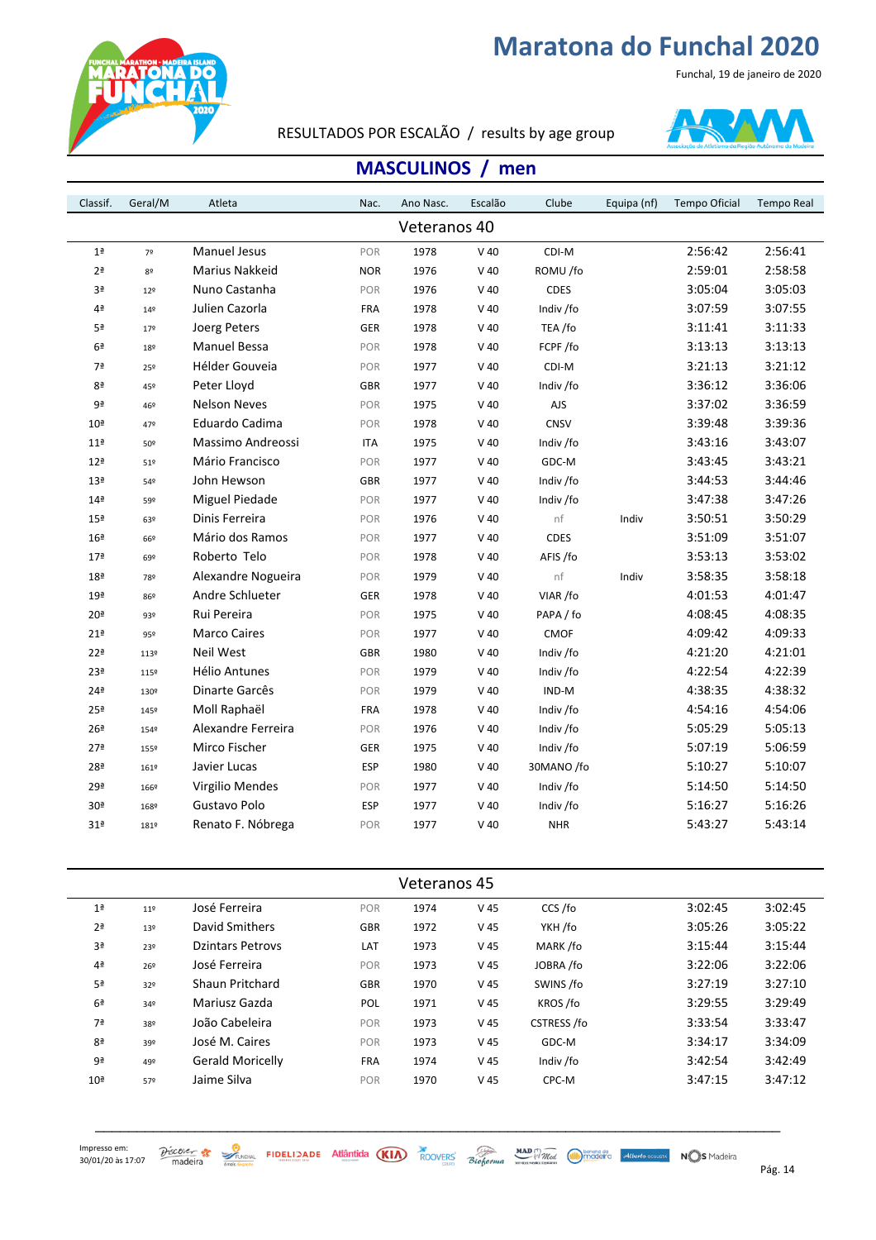ONA

#### RESULTADOS POR ESCALÃO / results by age group



Funchal, 19 de janeiro de 2020

#### **MASCULINOS** / men

| Classif.        | Geral/M         | Atleta               | Nac.       | Ano Nasc.    | Escalão | Clube       | Equipa (nf) | Tempo Oficial | <b>Tempo Real</b> |
|-----------------|-----------------|----------------------|------------|--------------|---------|-------------|-------------|---------------|-------------------|
|                 |                 |                      |            | Veteranos 40 |         |             |             |               |                   |
| 1 <sup>a</sup>  | 7 <sup>°</sup>  | <b>Manuel Jesus</b>  | POR        | 1978         | $V$ 40  | CDI-M       |             | 2:56:42       | 2:56:41           |
| 2 <sup>a</sup>  | 8º              | Marius Nakkeid       | <b>NOR</b> | 1976         | $V$ 40  | ROMU /fo    |             | 2:59:01       | 2:58:58           |
| 3ª              | 12 <sup>°</sup> | Nuno Castanha        | POR        | 1976         | $V$ 40  | CDES        |             | 3:05:04       | 3:05:03           |
| 4ª              | 149             | Julien Cazorla       | <b>FRA</b> | 1978         | $V$ 40  | Indiv /fo   |             | 3:07:59       | 3:07:55           |
| 5ª              | 172             | Joerg Peters         | GER        | 1978         | $V$ 40  | TEA /fo     |             | 3:11:41       | 3:11:33           |
| 6 <sup>a</sup>  | 18º             | <b>Manuel Bessa</b>  | POR        | 1978         | $V$ 40  | FCPF/fo     |             | 3:13:13       | 3:13:13           |
| 7ª              | 25º             | Hélder Gouveia       | POR        | 1977         | $V$ 40  | CDI-M       |             | 3:21:13       | 3:21:12           |
| 8ª              | 45º             | Peter Lloyd          | <b>GBR</b> | 1977         | $V$ 40  | Indiv /fo   |             | 3:36:12       | 3:36:06           |
| 9ª              | 46º             | <b>Nelson Neves</b>  | POR        | 1975         | $V$ 40  | AJS         |             | 3:37:02       | 3:36:59           |
| 10 <sup>a</sup> | 47º             | Eduardo Cadima       | POR        | 1978         | $V$ 40  | <b>CNSV</b> |             | 3:39:48       | 3:39:36           |
| 11 <sup>a</sup> | 50º             | Massimo Andreossi    | <b>ITA</b> | 1975         | $V$ 40  | Indiv /fo   |             | 3:43:16       | 3:43:07           |
| 12 <sup>a</sup> | 51º             | Mário Francisco      | POR        | 1977         | $V$ 40  | GDC-M       |             | 3:43:45       | 3:43:21           |
| 13 <sup>a</sup> | 54º             | John Hewson          | <b>GBR</b> | 1977         | $V$ 40  | Indiv /fo   |             | 3:44:53       | 3:44:46           |
| 14 <sup>a</sup> | 59º             | Miguel Piedade       | POR        | 1977         | $V$ 40  | Indiv /fo   |             | 3:47:38       | 3:47:26           |
| 15 <sup>a</sup> | 63º             | Dinis Ferreira       | POR        | 1976         | $V$ 40  | nf          | Indiv       | 3:50:51       | 3:50:29           |
| 16 <sup>a</sup> | 66º             | Mário dos Ramos      | POR        | 1977         | $V$ 40  | <b>CDES</b> |             | 3:51:09       | 3:51:07           |
| 17 <sup>a</sup> | 69º             | Roberto Telo         | POR        | 1978         | $V$ 40  | AFIS /fo    |             | 3:53:13       | 3:53:02           |
| 18 <sup>a</sup> | 78º             | Alexandre Nogueira   | POR        | 1979         | $V$ 40  | nf          | Indiv       | 3:58:35       | 3:58:18           |
| 19 <sup>a</sup> | 86º             | Andre Schlueter      | <b>GER</b> | 1978         | $V$ 40  | VIAR /fo    |             | 4:01:53       | 4:01:47           |
| 20 <sup>a</sup> | 93º             | Rui Pereira          | POR        | 1975         | $V$ 40  | PAPA / fo   |             | 4:08:45       | 4:08:35           |
| 21 <sup>a</sup> | 95º             | <b>Marco Caires</b>  | POR        | 1977         | $V$ 40  | <b>CMOF</b> |             | 4:09:42       | 4:09:33           |
| 22 <sup>a</sup> | 113º            | Neil West            | <b>GBR</b> | 1980         | $V$ 40  | Indiv /fo   |             | 4:21:20       | 4:21:01           |
| 23ª             | 115º            | <b>Hélio Antunes</b> | POR        | 1979         | $V$ 40  | Indiv /fo   |             | 4:22:54       | 4:22:39           |
| 24 <sup>a</sup> | 130º            | Dinarte Garcês       | POR        | 1979         | $V$ 40  | IND-M       |             | 4:38:35       | 4:38:32           |
| 25 <sup>a</sup> | 145º            | Moll Raphaël         | FRA        | 1978         | $V$ 40  | Indiv /fo   |             | 4:54:16       | 4:54:06           |
| 26 <sup>a</sup> | 1549            | Alexandre Ferreira   | POR        | 1976         | $V$ 40  | Indiv /fo   |             | 5:05:29       | 5:05:13           |
| 27 <sup>a</sup> | 1559            | Mirco Fischer        | GER        | 1975         | $V$ 40  | Indiv /fo   |             | 5:07:19       | 5:06:59           |
| 28ª             | 1619            | Javier Lucas         | ESP        | 1980         | $V$ 40  | 30MANO /fo  |             | 5:10:27       | 5:10:07           |
| 29ª             | 166º            | Virgilio Mendes      | POR        | 1977         | $V$ 40  | Indiv /fo   |             | 5:14:50       | 5:14:50           |
| 30 <sup>a</sup> | 168º            | Gustavo Polo         | <b>ESP</b> | 1977         | $V$ 40  | Indiv /fo   |             | 5:16:27       | 5:16:26           |
| 31 <sup>a</sup> | 181º            | Renato F. Nóbrega    | POR        | 1977         | $V$ 40  | <b>NHR</b>  |             | 5:43:27       | 5:43:14           |

| Veteranos 45    |                 |                         |            |      |                 |                    |         |         |  |  |  |  |
|-----------------|-----------------|-------------------------|------------|------|-----------------|--------------------|---------|---------|--|--|--|--|
| 1 <sup>a</sup>  | 11 <sup>°</sup> | José Ferreira           | POR        | 1974 | V <sub>45</sub> | CCS /fo            | 3:02:45 | 3:02:45 |  |  |  |  |
| 2 <sup>a</sup>  | 13 <sup>°</sup> | David Smithers          | GBR        | 1972 | V 45            | YKH /fo            | 3:05:26 | 3:05:22 |  |  |  |  |
| 3ª              | 23º             | <b>Dzintars Petrovs</b> | LAT        | 1973 | V <sub>45</sub> | MARK/fo            | 3:15:44 | 3:15:44 |  |  |  |  |
| 4 <sup>a</sup>  | 26º             | José Ferreira           | <b>POR</b> | 1973 | V <sub>45</sub> | JOBRA /fo          | 3:22:06 | 3:22:06 |  |  |  |  |
| 5 <sup>a</sup>  | 32 <sup>o</sup> | Shaun Pritchard         | <b>GBR</b> | 1970 | V <sub>45</sub> | SWINS /fo          | 3:27:19 | 3:27:10 |  |  |  |  |
| 6 <sup>a</sup>  | 34º             | Mariusz Gazda           | <b>POL</b> | 1971 | V 45            | KROS/fo            | 3:29:55 | 3:29:49 |  |  |  |  |
| 7ª              | 38º             | João Cabeleira          | POR        | 1973 | V <sub>45</sub> | <b>CSTRESS /fo</b> | 3:33:54 | 3:33:47 |  |  |  |  |
| 8 <sup>a</sup>  | 39º             | José M. Caires          | POR        | 1973 | V <sub>45</sub> | GDC-M              | 3:34:17 | 3:34:09 |  |  |  |  |
| 9ª              | 49º             | <b>Gerald Moricelly</b> | <b>FRA</b> | 1974 | V <sub>45</sub> | Indiv /fo          | 3:42:54 | 3:42:49 |  |  |  |  |
| 10 <sup>a</sup> | 57º             | Jaime Silva             | POR        | 1970 | V 45            | CPC-M              | 3:47:15 | 3:47:12 |  |  |  |  |

\_\_\_\_\_\_\_\_\_\_\_\_\_\_\_\_\_\_\_\_\_\_\_\_\_\_\_\_\_\_\_\_\_\_\_\_\_\_\_\_\_\_\_\_\_\_\_\_\_\_\_\_\_\_\_\_\_\_\_\_\_\_\_\_\_\_\_\_\_\_\_\_\_\_\_\_\_\_\_\_\_\_\_

Impresso em: 30/01/20 às 17:07

 $\frac{\partial f_{\text{2000M}}}{\partial f_{\text{2000M}}}\times\frac{\partial f_{\text{2000M}}}{\partial f_{\text{2000}}}\times\frac{F_{\text{100M}}}{F_{\text{200M}}}\times\frac{F_{\text{200M}}}{F_{\text{200M}}}\times\frac{F_{\text{200M}}}{F_{\text{200M}}}\times\frac{F_{\text{200M}}}{F_{\text{200M}}}\times\frac{F_{\text{200M}}}{F_{\text{200M}}}\times\frac{F_{\text{200M}}}{F_{\text{200M}}}\times\frac{$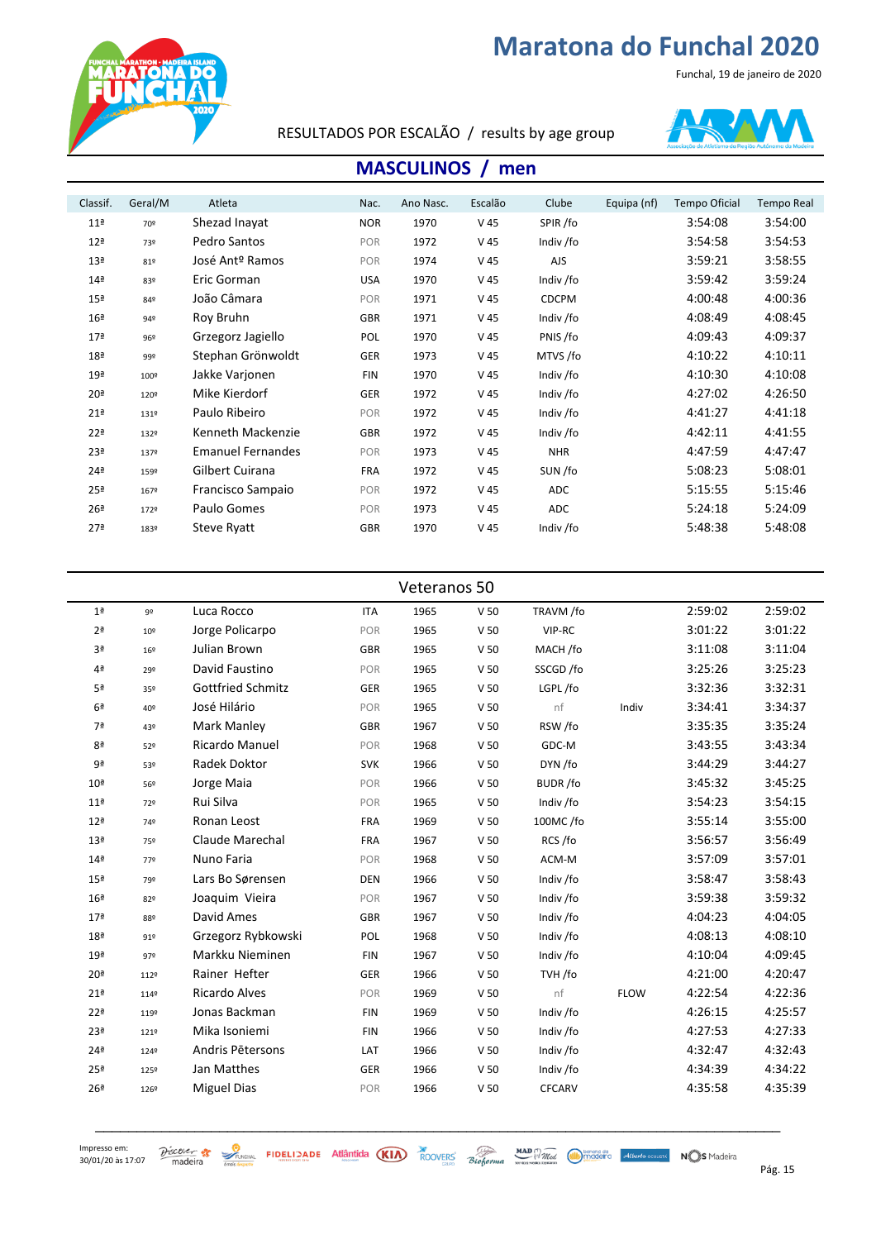Funchal, 19 de janeiro de 2020



#### RESULTADOS POR ESCALÃO / results by age group



#### **MASCULINOS** / men

| Classif.        | Geral/M | Atleta                      | Nac.       | Ano Nasc. | Escalão         | Clube        | Equipa (nf) | <b>Tempo Oficial</b> | Tempo Real |
|-----------------|---------|-----------------------------|------------|-----------|-----------------|--------------|-------------|----------------------|------------|
| 11 <sup>a</sup> | 70º     | Shezad Inayat               | <b>NOR</b> | 1970      | V <sub>45</sub> | SPIR /fo     |             | 3:54:08              | 3:54:00    |
| 12 <sup>a</sup> | 73º     | Pedro Santos                | POR        | 1972      | V <sub>45</sub> | Indiv /fo    |             | 3:54:58              | 3:54:53    |
| 13 <sup>a</sup> | 81º     | José Ant <sup>o</sup> Ramos | POR        | 1974      | V <sub>45</sub> | AJS          |             | 3:59:21              | 3:58:55    |
| 14 <sup>a</sup> | 83º     | Eric Gorman                 | <b>USA</b> | 1970      | V <sub>45</sub> | Indiv /fo    |             | 3:59:42              | 3:59:24    |
| 15 <sup>a</sup> | 84º     | João Câmara                 | POR        | 1971      | V 45            | <b>CDCPM</b> |             | 4:00:48              | 4:00:36    |
| 16 <sup>a</sup> | 94º     | Roy Bruhn                   | <b>GBR</b> | 1971      | V <sub>45</sub> | Indiv /fo    |             | 4:08:49              | 4:08:45    |
| 17 <sup>a</sup> | 96º     | Grzegorz Jagiello           | POL        | 1970      | V 45            | PNIS /fo     |             | 4:09:43              | 4:09:37    |
| 18 <sup>a</sup> | 99º     | Stephan Grönwoldt           | GER        | 1973      | V <sub>45</sub> | MTVS/fo      |             | 4:10:22              | 4:10:11    |
| 19 <sup>a</sup> | 1009    | Jakke Varjonen              | <b>FIN</b> | 1970      | V 45            | Indiv /fo    |             | 4:10:30              | 4:10:08    |
| 20 <sup>a</sup> | 1209    | Mike Kierdorf               | GER        | 1972      | V 45            | Indiv /fo    |             | 4:27:02              | 4:26:50    |
| 21 <sup>a</sup> | 1319    | Paulo Ribeiro               | POR        | 1972      | V 45            | Indiv /fo    |             | 4:41:27              | 4:41:18    |
| 22 <sup>a</sup> | 1329    | Kenneth Mackenzie           | GBR        | 1972      | V 45            | Indiv /fo    |             | 4:42:11              | 4:41:55    |
| 23 <sup>a</sup> | 1379    | <b>Emanuel Fernandes</b>    | POR        | 1973      | V <sub>45</sub> | <b>NHR</b>   |             | 4:47:59              | 4:47:47    |
| 24 <sup>a</sup> | 159º    | Gilbert Cuirana             | <b>FRA</b> | 1972      | V <sub>45</sub> | SUN/fo       |             | 5:08:23              | 5:08:01    |
| 25 <sup>a</sup> | 1679    | Francisco Sampaio           | POR        | 1972      | V 45            | ADC          |             | 5:15:55              | 5:15:46    |
| 26 <sup>a</sup> | 1729    | Paulo Gomes                 | POR        | 1973      | V 45            | ADC          |             | 5:24:18              | 5:24:09    |
| 27 <sup>a</sup> | 183º    | Steve Ryatt                 | GBR        | 1970      | V 45            | Indiv /fo    |             | 5:48:38              | 5:48:08    |
|                 |         |                             |            |           |                 |              |             |                      |            |

|                 | Veteranos 50   |                          |            |      |                 |                |             |         |         |  |  |
|-----------------|----------------|--------------------------|------------|------|-----------------|----------------|-------------|---------|---------|--|--|
| 1 <sup>a</sup>  | 9 <sup>o</sup> | Luca Rocco               | <b>ITA</b> | 1965 | V <sub>50</sub> | TRAVM /fo      |             | 2:59:02 | 2:59:02 |  |  |
| 2 <sup>a</sup>  | $10^{9}$       | Jorge Policarpo          | POR        | 1965 | V <sub>50</sub> | VIP-RC         |             | 3:01:22 | 3:01:22 |  |  |
| 3 <sup>a</sup>  | 16º            | Julian Brown             | <b>GBR</b> | 1965 | V <sub>50</sub> | MACH /fo       |             | 3:11:08 | 3:11:04 |  |  |
| 4ª              | 29º            | David Faustino           | POR        | 1965 | V <sub>50</sub> | SSCGD /fo      |             | 3:25:26 | 3:25:23 |  |  |
| 5ª              | 35º            | <b>Gottfried Schmitz</b> | <b>GER</b> | 1965 | V <sub>50</sub> | LGPL/fo        |             | 3:32:36 | 3:32:31 |  |  |
| 6 <sup>a</sup>  | 40º            | José Hilário             | POR        | 1965 | V <sub>50</sub> | nf             | Indiv       | 3:34:41 | 3:34:37 |  |  |
| 7ª              | 43º            | Mark Manley              | <b>GBR</b> | 1967 | V <sub>50</sub> | RSW /fo        |             | 3:35:35 | 3:35:24 |  |  |
| 8 <sup>a</sup>  | 52º            | Ricardo Manuel           | POR        | 1968 | V <sub>50</sub> | GDC-M          |             | 3:43:55 | 3:43:34 |  |  |
| 9ª              | 53º            | Radek Doktor             | <b>SVK</b> | 1966 | V <sub>50</sub> | DYN/fo         |             | 3:44:29 | 3:44:27 |  |  |
| 10 <sup>a</sup> | 56º            | Jorge Maia               | POR        | 1966 | V <sub>50</sub> | <b>BUDR/fo</b> |             | 3:45:32 | 3:45:25 |  |  |
| 11 <sup>a</sup> | 72º            | Rui Silva                | POR        | 1965 | V <sub>50</sub> | Indiv /fo      |             | 3:54:23 | 3:54:15 |  |  |
| 12 <sup>a</sup> | 74º            | Ronan Leost              | <b>FRA</b> | 1969 | V <sub>50</sub> | 100MC/fo       |             | 3:55:14 | 3:55:00 |  |  |
| 13 <sup>a</sup> | 75º            | Claude Marechal          | <b>FRA</b> | 1967 | V <sub>50</sub> | RCS/fo         |             | 3:56:57 | 3:56:49 |  |  |
| 14 <sup>a</sup> | 77º            | Nuno Faria               | POR        | 1968 | V <sub>50</sub> | ACM-M          |             | 3:57:09 | 3:57:01 |  |  |
| 15 <sup>a</sup> | 79º            | Lars Bo Sørensen         | <b>DEN</b> | 1966 | V <sub>50</sub> | Indiv /fo      |             | 3:58:47 | 3:58:43 |  |  |
| 16 <sup>a</sup> | 82º            | Joaquim Vieira           | POR        | 1967 | V <sub>50</sub> | Indiv /fo      |             | 3:59:38 | 3:59:32 |  |  |
| 17 <sup>a</sup> | 88º            | David Ames               | GBR        | 1967 | V <sub>50</sub> | Indiv /fo      |             | 4:04:23 | 4:04:05 |  |  |
| 18 <sup>a</sup> | 91º            | Grzegorz Rybkowski       | POL        | 1968 | V <sub>50</sub> | Indiv /fo      |             | 4:08:13 | 4:08:10 |  |  |
| 19 <sup>a</sup> | 97º            | Markku Nieminen          | <b>FIN</b> | 1967 | V <sub>50</sub> | Indiv /fo      |             | 4:10:04 | 4:09:45 |  |  |
| 20 <sup>a</sup> | 112º           | Rainer Hefter            | <b>GER</b> | 1966 | V <sub>50</sub> | TVH/fo         |             | 4:21:00 | 4:20:47 |  |  |
| 21 <sup>a</sup> | 1149           | <b>Ricardo Alves</b>     | POR        | 1969 | V <sub>50</sub> | nf             | <b>FLOW</b> | 4:22:54 | 4:22:36 |  |  |
| 22 <sup>a</sup> | 119º           | Jonas Backman            | <b>FIN</b> | 1969 | V <sub>50</sub> | Indiv /fo      |             | 4:26:15 | 4:25:57 |  |  |
| 23 <sup>a</sup> | 1219           | Mika Isoniemi            | <b>FIN</b> | 1966 | V <sub>50</sub> | Indiv /fo      |             | 4:27:53 | 4:27:33 |  |  |
| 24 <sup>a</sup> | 1249           | Andris Pētersons         | LAT        | 1966 | V <sub>50</sub> | Indiv /fo      |             | 4:32:47 | 4:32:43 |  |  |
| 25 <sup>a</sup> | 125º           | Jan Matthes              | GER        | 1966 | V <sub>50</sub> | Indiv /fo      |             | 4:34:39 | 4:34:22 |  |  |
| 26 <sup>a</sup> | 1269           | <b>Miguel Dias</b>       | POR        | 1966 | V <sub>50</sub> | <b>CFCARV</b>  |             | 4:35:58 | 4:35:39 |  |  |
|                 |                |                          |            |      |                 |                |             |         |         |  |  |

\_\_\_\_\_\_\_\_\_\_\_\_\_\_\_\_\_\_\_\_\_\_\_\_\_\_\_\_\_\_\_\_\_\_\_\_\_\_\_\_\_\_\_\_\_\_\_\_\_\_\_\_\_\_\_\_\_\_\_\_\_\_\_\_\_\_\_\_\_\_\_\_\_\_\_\_\_\_\_\_\_\_\_

 $\frac{\partial$  *P*ág. Statistics **Statistics FIDELIDADE** Atlântida (KIA) ROOVERS Bioforma *MAD MAD Mad Made College Atlanto ocuusta* NOS Madeira Pág. 15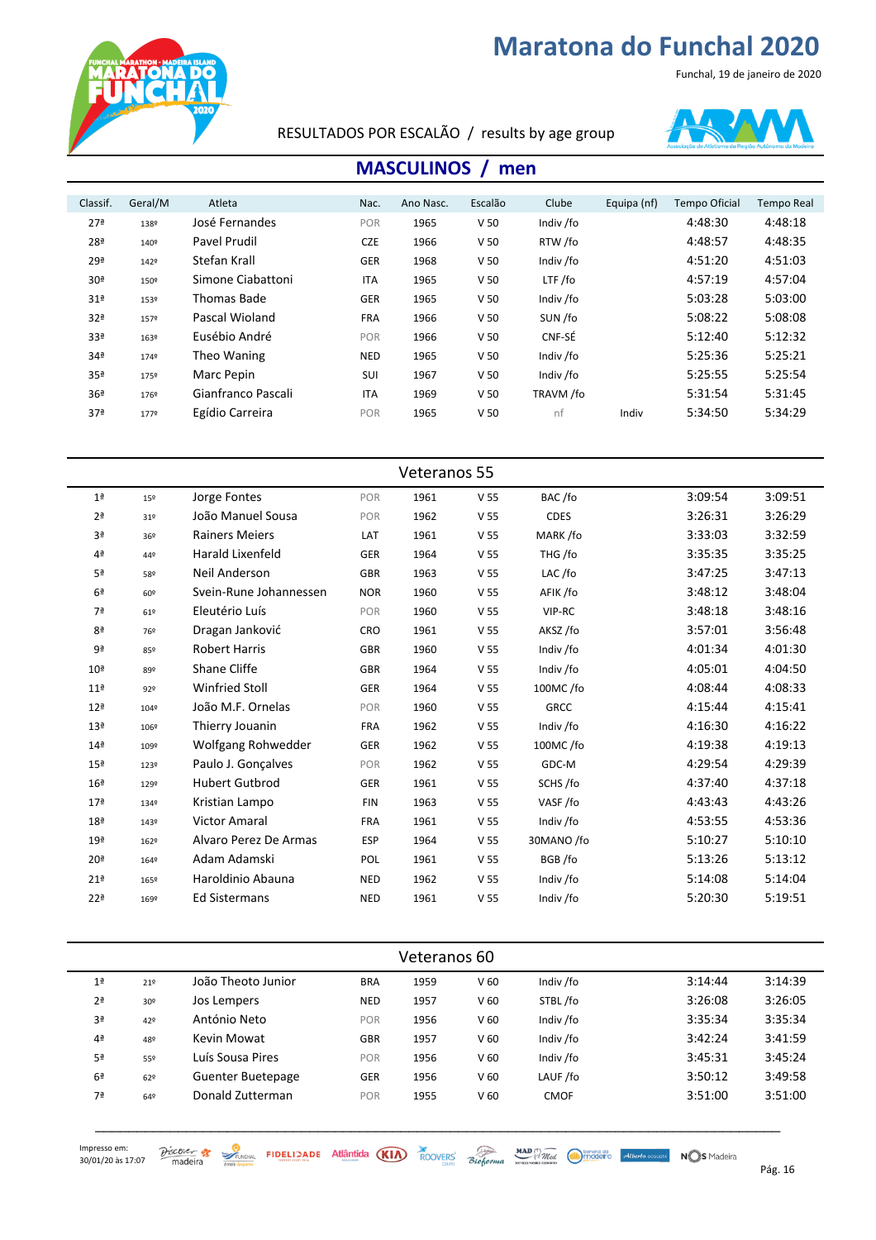Funchal, 19 de janeiro de 2020



#### RESULTADOS POR ESCALÃO / results by age group



#### **MASCULINOS** / men

| Classif.        | Geral/M | Atleta             | Nac.       | Ano Nasc. | Escalão         | Clube     | Equipa (nf) | <b>Tempo Oficial</b> | Tempo Real |
|-----------------|---------|--------------------|------------|-----------|-----------------|-----------|-------------|----------------------|------------|
|                 |         |                    |            |           |                 |           |             |                      |            |
| 27 <sup>a</sup> | 1389    | José Fernandes     | POR        | 1965      | V <sub>50</sub> | Indiv /fo |             | 4:48:30              | 4:48:18    |
| 28 <sup>a</sup> | 140°    | Pavel Prudil       | <b>CZE</b> | 1966      | V <sub>50</sub> | RTW /fo   |             | 4:48:57              | 4:48:35    |
| 29 <sup>a</sup> | 1429    | Stefan Krall       | <b>GER</b> | 1968      | V <sub>50</sub> | Indiv /fo |             | 4:51:20              | 4:51:03    |
| 30 <sup>a</sup> | 150º    | Simone Ciabattoni  | <b>ITA</b> | 1965      | V <sub>50</sub> | LTF /fo   |             | 4:57:19              | 4:57:04    |
| 31 <sup>a</sup> | 153º    | Thomas Bade        | <b>GER</b> | 1965      | V <sub>50</sub> | Indiv /fo |             | 5:03:28              | 5:03:00    |
| 32 <sup>a</sup> | 1579    | Pascal Wioland     | <b>FRA</b> | 1966      | V <sub>50</sub> | SUN /fo   |             | 5:08:22              | 5:08:08    |
| 33 <sup>a</sup> | 163º    | Eusébio André      | POR        | 1966      | V <sub>50</sub> | CNF-SÉ    |             | 5:12:40              | 5:12:32    |
| 34 <sup>a</sup> | 1749    | Theo Waning        | <b>NED</b> | 1965      | V <sub>50</sub> | Indiv /fo |             | 5:25:36              | 5:25:21    |
| 35 <sup>a</sup> | 1759    | Marc Pepin         | SUI        | 1967      | V <sub>50</sub> | Indiv /fo |             | 5:25:55              | 5:25:54    |
| 36 <sup>a</sup> | 1769    | Gianfranco Pascali | <b>ITA</b> | 1969      | V <sub>50</sub> | TRAVM /fo |             | 5:31:54              | 5:31:45    |
| 37 <sup>a</sup> | 1779    | Egídio Carreira    | POR        | 1965      | V <sub>50</sub> | nf        | Indiv       | 5:34:50              | 5:34:29    |
|                 |         |                    |            |           |                 |           |             |                      |            |

|                 | Veteranos 55 |                        |            |      |                 |             |         |         |  |  |  |
|-----------------|--------------|------------------------|------------|------|-----------------|-------------|---------|---------|--|--|--|
| 1 <sup>a</sup>  | 15º          | Jorge Fontes           | POR        | 1961 | V <sub>55</sub> | BAC/fo      | 3:09:54 | 3:09:51 |  |  |  |
| 2 <sup>a</sup>  | 31º          | João Manuel Sousa      | POR        | 1962 | V <sub>55</sub> | <b>CDES</b> | 3:26:31 | 3:26:29 |  |  |  |
| 3 <sup>a</sup>  | 36º          | <b>Rainers Meiers</b>  | LAT        | 1961 | V <sub>55</sub> | MARK/fo     | 3:33:03 | 3:32:59 |  |  |  |
| 4ª              | 449          | Harald Lixenfeld       | <b>GER</b> | 1964 | V <sub>55</sub> | THG /fo     | 3:35:35 | 3:35:25 |  |  |  |
| 5ª              | 58º          | Neil Anderson          | <b>GBR</b> | 1963 | V <sub>55</sub> | LAC/fo      | 3:47:25 | 3:47:13 |  |  |  |
| 6 <sup>a</sup>  | 60º          | Svein-Rune Johannessen | <b>NOR</b> | 1960 | V <sub>55</sub> | AFIK /fo    | 3:48:12 | 3:48:04 |  |  |  |
| 7ª              | 61º          | Eleutério Luís         | POR        | 1960 | V <sub>55</sub> | VIP-RC      | 3:48:18 | 3:48:16 |  |  |  |
| 8 <sup>a</sup>  | 76º          | Dragan Janković        | CRO        | 1961 | V <sub>55</sub> | AKSZ/fo     | 3:57:01 | 3:56:48 |  |  |  |
| 9ª              | 85º          | <b>Robert Harris</b>   | <b>GBR</b> | 1960 | V <sub>55</sub> | Indiv /fo   | 4:01:34 | 4:01:30 |  |  |  |
| 10 <sup>a</sup> | 89º          | Shane Cliffe           | GBR        | 1964 | V <sub>55</sub> | Indiv /fo   | 4:05:01 | 4:04:50 |  |  |  |
| 11 <sup>a</sup> | 92º          | <b>Winfried Stoll</b>  | <b>GER</b> | 1964 | V <sub>55</sub> | 100MC/fo    | 4:08:44 | 4:08:33 |  |  |  |
| 12 <sup>a</sup> | 1049         | João M.F. Ornelas      | POR        | 1960 | V <sub>55</sub> | <b>GRCC</b> | 4:15:44 | 4:15:41 |  |  |  |
| 13 <sup>a</sup> | 1069         | Thierry Jouanin        | <b>FRA</b> | 1962 | V <sub>55</sub> | Indiv /fo   | 4:16:30 | 4:16:22 |  |  |  |
| 14 <sup>a</sup> | 109º         | Wolfgang Rohwedder     | <b>GER</b> | 1962 | V 55            | 100MC/fo    | 4:19:38 | 4:19:13 |  |  |  |
| 15 <sup>a</sup> | 1239         | Paulo J. Gonçalves     | POR        | 1962 | V <sub>55</sub> | GDC-M       | 4:29:54 | 4:29:39 |  |  |  |
| 16 <sup>a</sup> | 129º         | <b>Hubert Gutbrod</b>  | <b>GER</b> | 1961 | V <sub>55</sub> | SCHS /fo    | 4:37:40 | 4:37:18 |  |  |  |
| 17 <sup>a</sup> | 1349         | Kristian Lampo         | <b>FIN</b> | 1963 | V <sub>55</sub> | VASF/fo     | 4:43:43 | 4:43:26 |  |  |  |
| 18 <sup>a</sup> | 143º         | <b>Victor Amaral</b>   | <b>FRA</b> | 1961 | V <sub>55</sub> | Indiv /fo   | 4:53:55 | 4:53:36 |  |  |  |
| 19ª             | 162º         | Alvaro Perez De Armas  | <b>ESP</b> | 1964 | V <sub>55</sub> | 30MANO /fo  | 5:10:27 | 5:10:10 |  |  |  |
| 20 <sup>a</sup> | 1649         | Adam Adamski           | POL        | 1961 | V <sub>55</sub> | BGB/fo      | 5:13:26 | 5:13:12 |  |  |  |
| 21 <sup>a</sup> | 165º         | Haroldinio Abauna      | <b>NED</b> | 1962 | V <sub>55</sub> | Indiv /fo   | 5:14:08 | 5:14:04 |  |  |  |
| 22 <sup>a</sup> | 169º         | <b>Ed Sistermans</b>   | <b>NED</b> | 1961 | V <sub>55</sub> | Indiv /fo   | 5:20:30 | 5:19:51 |  |  |  |
|                 |              |                        |            |      |                 |             |         |         |  |  |  |

| Veteranos 60   |                 |                    |            |      |                 |             |         |         |  |  |
|----------------|-----------------|--------------------|------------|------|-----------------|-------------|---------|---------|--|--|
| 1 <sup>a</sup> | 21°             | João Theoto Junior | <b>BRA</b> | 1959 | V <sub>60</sub> | Indiv /fo   | 3:14:44 | 3:14:39 |  |  |
| 2 <sup>a</sup> | 30 <sup>o</sup> | Jos Lempers        | <b>NED</b> | 1957 | V <sub>60</sub> | STBL/fo     | 3:26:08 | 3:26:05 |  |  |
| 3ª             | 42º             | António Neto       | POR        | 1956 | V <sub>60</sub> | Indiv /fo   | 3:35:34 | 3:35:34 |  |  |
| 4 <sup>a</sup> | 48º             | Kevin Mowat        | <b>GBR</b> | 1957 | V <sub>60</sub> | Indiv /fo   | 3:42:24 | 3:41:59 |  |  |
| 5ª             | 55º             | Luís Sousa Pires   | POR        | 1956 | V <sub>60</sub> | Indiv /fo   | 3:45:31 | 3:45:24 |  |  |
| 6 <sup>a</sup> | 62°             | Guenter Buetepage  | <b>GER</b> | 1956 | V <sub>60</sub> | LAUF /fo    | 3:50:12 | 3:49:58 |  |  |
| 7ª             | 649             | Donald Zutterman   | POR        | 1955 | V <sub>60</sub> | <b>CMOF</b> | 3:51:00 | 3:51:00 |  |  |